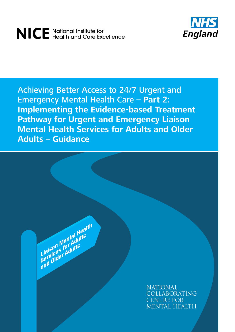# NICE National Institute for<br>NICE Health and Care Excellence



Achieving Better Access to 24/7 Urgent and Emergency Mental Health Care – **Part 2: Implementing the Evidence-based Treatment Pathway for Urgent and Emergency Liaison Mental Health Services for Adults and Older Adults – Guidance**

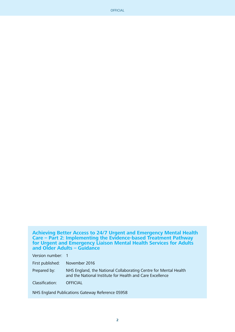OFFICIAL

**Achieving Better Access to 24/7 Urgent and Emergency Mental Health Care – Part 2: Implementing the Evidence-based Treatment Pathway for Urgent and Emergency Liaison Mental Health Services for Adults and Older Adults – Guidance**

Version number: 1

First published: November 2016

Prepared by: NHS England, the National Collaborating Centre for Mental Health and the National Institute for Health and Care Excellence

Classification: OFFICIAL

NHS England Publications Gateway Reference 05958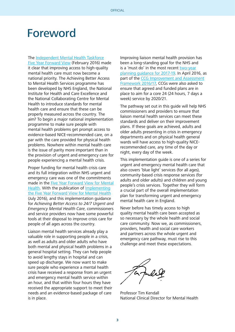## Foreword

The [Independent Mental Health Taskforce](https://www.england.nhs.uk/wp-content/uploads/2016/02/Mental-Health-Taskforce-FYFV-final.pdf)

[Five Year Forward View](https://www.england.nhs.uk/wp-content/uploads/2016/02/Mental-Health-Taskforce-FYFV-final.pdf) (February 2016) made it clear that improving access to high-quality mental health care must now become a national priority. The Achieving Better Access to Mental Health Services programme has been developed by NHS England, the National Institute for Health and Care Excellence and the National Collaborating Centre for Mental Health to introduce standards for mental health care and ensure that these can be properly measured across the country. The aim? To begin a major national implementation programme to make sure people with mental health problems get prompt access to evidence-based NICE-recommended care, on a par with the care provided for physical health problems. Nowhere within mental health care is the issue of parity more important than in the provision of urgent and emergency care for people experiencing a mental health crisis.

Proper funding for mental health crisis care and its full integration within NHS urgent and emergency care was one of the commitments made in the [Five Year Forward View for Mental](https://www.england.nhs.uk/wp-content/uploads/2016/02/Mental-Health-Taskforce-FYFV-final.pdf) [Health.](https://www.england.nhs.uk/wp-content/uploads/2016/02/Mental-Health-Taskforce-FYFV-final.pdf) With the publication of [Implementing](https://www.england.nhs.uk/wp-content/uploads/2016/07/fyfv-mh.pdf) [the Five Year Forward View for Mental Health](https://www.england.nhs.uk/wp-content/uploads/2016/07/fyfv-mh.pdf) (July 2016), and this implementation guidance for Achieving Better Access to 24/7 Urgent and Emergency Mental Health Care, commissioners and service providers now have some powerful tools at their disposal to improve crisis care for people of all ages across the country.

Liaison mental health services already play a valuable role in supporting people in a crisis, as well as adults and older adults who have both mental and physical health problems in a general hospital setting. They can help people to avoid lengthy stays in hospital and can speed up discharge. We now want to make sure people who experience a mental health crisis have received a response from an urgent and emergency mental health service within an hour, and that within four hours they have received the appropriate support to meet their needs and an evidence-based package of care is in place.

Improving liaison mental health provision has been a long-standing goal for the NHS and is a 'must do' in the most recent [two-year](https://www.england.nhs.uk/ourwork/futurenhs/deliver-forward-view/) [planning guidance for 2017-19.](https://www.england.nhs.uk/ourwork/futurenhs/deliver-forward-view/) In April 2016, as part of the [CCG Improvement and Assessment](https://www.england.nhs.uk/commissioning/ccg-auth/) [Framework 2016/17](https://www.england.nhs.uk/commissioning/ccg-auth/), CCGs were also asked to ensure that agreed and funded plans are in place to aim for a core 24 (24 hours, 7 days a week) service by 2020/21.

The pathway set out in this guide will help NHS commissioners and providers to ensure that liaison mental health services can meet these standards and deliver on their improvement plans. If these goals are achieved, adults and older adults presenting in crisis in emergency departments and on physical health general wards will have access to high-quality NICErecommended care, any time of the day or night, every day of the week.

This implementation guide is one of a series for urgent and emergency mental health care that also covers 'blue light' services (for all ages), community-based crisis response services (for adults and older adults) and children and young people's crisis services. Together they will form a crucial part of the overall implementation plan for transforming urgent and emergency mental health care in England.

Never before has timely access to high quality mental health care been accepted as so necessary by the whole health and social care community. Now we, as commissioners, providers, health and social care workers and partners across the whole urgent and emergency care pathway, must rise to this challenge and meet these expectations.

Professor Tim Kendall National Clinical Director for Mental Health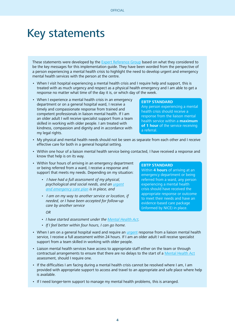## Key statements

These statements were developed by the [Expert Reference Group](#page-43-0) based on what they considered to be the key messages for this implementation guide. They have been worded from the perspective of a person experiencing a mental health crisis to highlight the need to develop urgent and emergency mental health services with the person at the centre.

- When I visit hospital experiencing a mental health crisis and I require help and support, this is treated with as much urgency and respect as a physical health emergency and I am able to get a response no matter what time of the day it is, or which day of the week.
- When I experience a mental health crisis in an emergency department or on a general hospital ward, I receive a timely and compassionate response from trained and competent professionals in liaison mental health. If I am an older adult I will receive specialist support from a team skilled in working with older people. I am treated with kindness, compassion and dignity and in accordance with my legal rights.

#### **EBTP STANDARD**

Any person experiencing a mental health crisis should receive a response from the liaison mental health service within a **maximum of 1 hour** of the service receiving a referral.

- My physical and mental health needs should not be seen as separate from each other and I receive effective care for both in a general hospital setting.
- Within one hour of a liaison mental health service being contacted, I have received a response and know that help is on its way.
- Within four hours of arriving in an emergency department or being referred from a ward, I receive a response and support that meets my needs. Depending on my situation:
	- I have had a full assessment of my physical, psychological and social needs, and an [urgent](#page-44-0) [and emergency care plan](#page-44-0) is in place, and
	- I am on my way to another service or location, if needed, or I have been accepted for follow-up care by another service

OR

- I have started assessment under the [Mental Health Act.](http://www.legislation.gov.uk/ukpga/1983/20/contents)
- If I feel better within four hours, I can go home.
- When I am on a general hospital ward and require an [urgent](#page-44-0) response from a liaison mental health service, I receive a full assessment within 24 hours. If I am an older adult I will receive specialist support from a team skilled in working with older people.
- Liaison mental health services have access to appropriate staff either on the team or through contractual arrangements to ensure that there are no delays to the start of a [Mental Health Act](http://www.legislation.gov.uk/ukpga/1983/20/contents) assessment, should I require one.
- If the difficulties I am facing during a mental health crisis cannot be resolved where I am, I am provided with appropriate support to access and travel to an appropriate and safe place where help is available.
- If I need longer-term support to manage my mental health problems, this is arranged.

#### **EBTP STANDARD**

Within **4 hours** of arriving at an emergency department or being referred from a ward, any person experiencing a mental health crisis should have received the appropriate response or outcome to meet their needs and have an evidence-based care package (informed by NICE) in place.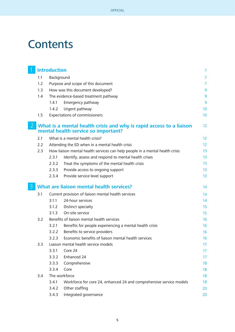# **Contents**

|     | <b>Introduction</b> |                                                                                                            | $\overline{7}$ |
|-----|---------------------|------------------------------------------------------------------------------------------------------------|----------------|
| 1.1 | Background          |                                                                                                            | 7              |
| 1.2 |                     | Purpose and scope of this document                                                                         | 7              |
| 1.3 |                     | How was this document developed?                                                                           | 9              |
| 1.4 |                     | The evidence-based treatment pathway                                                                       | 9              |
|     | 1.4.1               | Emergency pathway                                                                                          | 9              |
|     | 1.4.2               | Urgent pathway                                                                                             | 10             |
| 1.5 |                     | Expectations of commissioners                                                                              | 10             |
|     |                     | What is a mental health crisis and why is rapid access to a liaison<br>mental health service so important? | 12             |
| 2.1 |                     | What is a mental health crisis?                                                                            | 12             |
| 2.2 |                     | Attending the ED when in a mental health crisis                                                            | 12             |
| 2.3 |                     | How liaison mental health services can help people in a mental health crisis                               | 13             |
|     | 2.3.1               | Identify, assess and respond to mental health crises                                                       | 13             |
|     | 2.3.2               | Treat the symptoms of the mental health crisis                                                             | 13             |
|     | 2.3.3               | Provide access to ongoing support                                                                          | 13             |
|     | 2.3.4               | Provide service-level support                                                                              | 13             |
|     |                     | <b>What are liaison mental health services?</b>                                                            | 14             |
| 3.1 |                     | Current provision of liaison mental health services                                                        | 14             |
|     | 3.1.1               | 24-hour services                                                                                           | 14             |
|     | 3.1.2               | Distinct specialty                                                                                         | 15             |
|     | 3.1.3               | On-site service                                                                                            | 15             |
| 3.2 |                     | Benefits of liaison mental health services                                                                 | 16             |
|     | 3.2.1               | Benefits for people experiencing a mental health crisis                                                    | 16             |
|     | 3.2.2               | Benefits to service providers                                                                              | 16             |
|     | 3.2.3               | Economic benefits of liaison mental health services                                                        | 16             |
| 3.3 |                     | Liaison mental health service models                                                                       | 17             |
|     | 3.3.1               | Core 24                                                                                                    | 17             |
|     | 3.3.2               | Enhanced 24                                                                                                | 17             |
|     | 3.3.3               | Comprehensive                                                                                              | 18             |
|     | 3.3.4               | Core                                                                                                       | 18             |
| 3.4 |                     | The workforce                                                                                              | 18             |
|     | 3.4.1               | Workforce for core 24, enhanced 24 and comprehensive service models                                        | 18             |
|     | 3.4.2               | Other staffing                                                                                             | 20             |
|     | 3.4.3               | Integrated governance                                                                                      | 20             |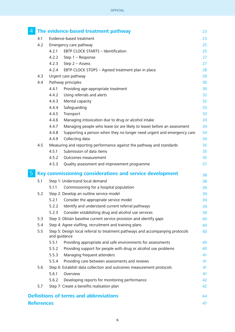| 4           |                   |                                | The evidence-based treatment pathway                                           | 23 |  |
|-------------|-------------------|--------------------------------|--------------------------------------------------------------------------------|----|--|
|             | 4.1               | Evidence-based treatment<br>23 |                                                                                |    |  |
|             | 4.2               |                                | Emergency care pathway                                                         | 25 |  |
|             |                   | 4.2.1                          | EBTP CLOCK STARTS - Identification                                             | 25 |  |
|             |                   | 4.2.2                          | Step $1 -$ Response                                                            | 27 |  |
|             |                   | 4.2.3                          | Step $2 -$ Assess                                                              | 27 |  |
|             |                   | 4.2.4                          | EBTP CLOCK STOPS - Agreed treatment plan in place                              | 28 |  |
|             | 4.3               |                                | Urgent care pathway                                                            | 29 |  |
|             | 4.4               |                                | Pathway principles                                                             | 30 |  |
|             |                   | 4.4.1                          | Providing age-appropriate treatment                                            | 30 |  |
|             |                   | 4.4.2                          | Using referrals and alerts                                                     | 32 |  |
|             |                   | 4.4.3                          | Mental capacity                                                                | 32 |  |
|             |                   | 4.4.4                          | Safeguarding                                                                   | 33 |  |
|             |                   | 4.4.5                          | Transport                                                                      | 33 |  |
|             |                   | 4.4.6                          | Managing intoxication due to drug or alcohol intake                            | 33 |  |
|             |                   | 4.4.7                          | Managing people who leave (or are likely to leave) before an assessment        | 34 |  |
|             |                   | 4.4.8                          | Supporting a person when they no longer need urgent and emergency care         | 34 |  |
|             |                   | 4.4.9                          | Collecting data                                                                | 34 |  |
|             | 4.5               |                                | Measuring and reporting performance against the pathway and standards          | 35 |  |
|             |                   | 4.5.1                          | Submission of data items                                                       | 35 |  |
|             |                   | 4.5.2                          | Outcomes measurement                                                           | 35 |  |
|             |                   | 4.5.3                          | Quality assessment and improvement programme                                   | 37 |  |
| $\mathsf b$ |                   |                                | Key commissioning considerations and service development                       | 38 |  |
|             | 5.1               |                                | Step 1: Understand local demand                                                | 38 |  |
|             |                   | 5.1.1                          | Commissioning for a hospital population                                        | 39 |  |
|             | 5.2               |                                | Step 2: Develop an outline service model                                       | 39 |  |
|             |                   | 5.2.1                          | Consider the appropriate service model                                         | 39 |  |
|             |                   | 5.2.2                          | Identify and understand current referral pathways                              | 39 |  |
|             |                   | 5.2.3                          | Consider establishing drug and alcohol use services                            | 39 |  |
|             | 5.3               |                                | Step 3: Obtain baseline current service provision and identify gaps            | 40 |  |
|             | 5.4               |                                | Step 4: Agree staffing, recruitment and training plans                         | 40 |  |
|             | 5.5               | and guidance                   | Step 5: Design local referral to treatment pathways and accompanying protocols | 40 |  |
|             |                   | 5.5.1                          | Providing appropriate and safe environments for assessments                    | 40 |  |
|             |                   | 5.5.2                          | Providing support for people with drug or alcohol use problems                 | 40 |  |
|             |                   | 5.5.3                          | Managing frequent attenders                                                    | 41 |  |
|             |                   | 5.5.4                          | Providing care between assessments and reviews                                 | 41 |  |
|             | 5.6               |                                | Step 6: Establish data collection and outcomes measurement protocols           | 41 |  |
|             |                   | 5.6.1                          | Overview                                                                       | 41 |  |
|             |                   | 5.6.2                          | Developing reports for monitoring performance                                  | 42 |  |
|             | 5.7               |                                | Step 7: Create a benefits realisation plan                                     | 42 |  |
|             |                   |                                | <b>Definitions of terms and abbreviations</b>                                  | 44 |  |
|             | <b>References</b> |                                |                                                                                | 47 |  |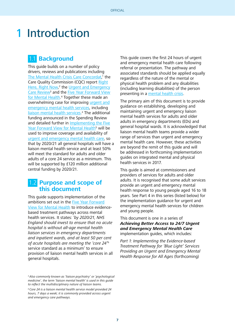# **Introduction**

## 1.1 **Background**

This guide builds on a number of policy drivers, reviews and publications including [The Mental Health Crisis Care Concordat,](http://www.crisiscareconcordat.org.uk/wp-content/uploads/2014/04/36353_Mental_Health_Crisis_accessible.pdf)<sup>1</sup> the Care Quality Commission (CQC) report [Right](https://www.cqc.org.uk/sites/default/files/20150611_righthere_mhcrisiscare_summary_3.pdf) [Here, Right Now,](https://www.cqc.org.uk/sites/default/files/20150611_righthere_mhcrisiscare_summary_3.pdf)<sup>2</sup> the [Urgent and Emergency](http://www.nhs.uk/NHSEngland/keogh-review/Documents/UECR.Ph1Report.FV.pdf) Care Review<sup>3</sup> and the **Five Year Forward View** [for Mental Health](https://www.england.nhs.uk/wp-content/uploads/2016/02/Mental-Health-Taskforce-FYFV-final.pdf).<sup>4</sup> Together these made an overwhelming case for improving [urgent and](#page-44-0) [emergency mental health services](#page-44-0), including [liaison mental health services](#page-44-0).<sup>a</sup> The additional funding announced in the Spending Review and detailed further in [Implementing the Five](https://www.england.nhs.uk/wp-content/uploads/2016/07/fyfv-mh.pdf) [Year Forward View for Mental Health](https://www.england.nhs.uk/wp-content/uploads/2016/07/fyfv-mh.pdf)<sup>5</sup> will be used to improve coverage and availability of [urgent and emergency mental health care](#page-44-0), so that by 2020/21 all general hospitals will have a liaison mental health service and at least 50% will meet the standard for adults and older adults of a core 24 service as a minimum. This will be supported by £120 million additional central funding by 2020/21.

## 1.2 **Purpose and scope of this document**

This guide supports implementation of the ambitions set out in the [Five Year Forward](https://www.england.nhs.uk/wp-content/uploads/2016/02/Mental-Health-Taskforce-FYFV-final.pdf) [View for Mental Health](https://www.england.nhs.uk/wp-content/uploads/2016/02/Mental-Health-Taskforce-FYFV-final.pdf) to introduce evidencebased treatment pathways across mental health services. It states: 'by 2020/21, NHS England should invest to ensure that no acute hospital is without all-age mental health liaison services in emergency departments and inpatient wards, and at least 50 per cent of acute hospitals are meeting the 'core 24'<sup>b</sup> service standard as a minimum' to ensure provision of liaison mental health services in all general hospitals.

b Core 24 is a liaison mental health service model provided 24 hours, 7 days a week; it is commonly provided across urgent and emergency care pathways.

This guide covers the first 24 hours of urgent and emergency mental health care following referral or presentation. The pathway and associated standards should be applied equally regardless of the nature of the mental or physical health problem and any disabilities (including learning disabilities) of the person presenting in a [mental health crisis.](#page-44-0)

The primary aim of this document is to provide guidance on establishing, developing and maintaining urgent and emergency liaison mental health services for adults and older adults in emergency departments (EDs) and general hospital wards. It is acknowledged that liaison mental health teams provide a wider range of services than urgent and emergency mental health care. However, these activities are beyond the remit of this guide and will be addressed in forthcoming implementation guides on integrated mental and physical health services in 2017.

This guide is aimed at commissioners and providers of services for adults and older adults. It is recognised that some adult services provide an urgent and emergency mental health response to young people aged 16 to 18 years. See Part 4 in this series (listed below) for the implementation guidance for urgent and emergency mental health services for children and young people.

#### This document is one in a series of **Achieving Better Access to 24/7 Urgent and Emergency Mental Health Care**  implementation guides, which includes:

Part 1: Implementing the Evidence-based Treatment Pathway for 'Blue Light' Services Providing an Urgent and Emergency Mental Health Response for All Ages (forthcoming)

<sup>&</sup>lt;sup>a</sup> Also commonly known as 'liaison psychiatry' or 'psychological medicine', the term 'liaison mental health' is used in this guide to reflect the multidisciplinary nature of liaison teams.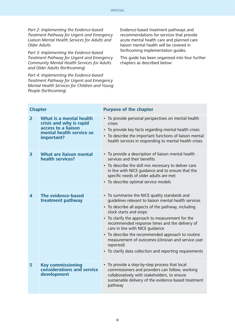Part 2: Implementing the Evidence-based Treatment Pathway for Urgent and Emergency Liaison Mental Health Services for Adults and Older Adults

Part 3: Implementing the Evidence-based Treatment Pathway for Urgent and Emergency Community Mental Health Services for Adults and Older Adults (forthcoming)

Part 4: Implementing the Evidence-based Treatment Pathway for Urgent and Emergency Mental Health Services for Children and Young People (forthcoming)

Evidence-based treatment pathways and recommendations for services that provide acute mental health care and planned care liaison mental health will be covered in forthcoming implementation guides.

This guide has been organised into four further chapters as described below:

| <b>Chapter</b>          |                                                                                                                     | <b>Purpose of the chapter</b>                                                                                                                                                                                                                                                                                                                                                                                                                                                                                        |  |  |  |
|-------------------------|---------------------------------------------------------------------------------------------------------------------|----------------------------------------------------------------------------------------------------------------------------------------------------------------------------------------------------------------------------------------------------------------------------------------------------------------------------------------------------------------------------------------------------------------------------------------------------------------------------------------------------------------------|--|--|--|
| $\overline{2}$          | What is a mental health<br>crisis and why is rapid<br>access to a liaison<br>mental health service so<br>important? | • To provide personal perspectives on mental health<br>crises<br>• To provide key facts regarding mental health crises<br>• To describe the important functions of liaison mental<br>health services in responding to mental health crises                                                                                                                                                                                                                                                                           |  |  |  |
| $\overline{\mathbf{3}}$ | <b>What are liaison mental</b><br>health services?                                                                  | • To provide a description of liaison mental health<br>services and their benefits<br>• To describe the skill mix necessary to deliver care<br>in line with NICE guidance and to ensure that the<br>specific needs of older adults are met<br>• To describe optimal service models                                                                                                                                                                                                                                   |  |  |  |
| $\overline{\mathbf{4}}$ | The evidence-based<br>treatment pathway                                                                             | • To summarise the NICE quality standards and<br>guidelines relevant to liaison mental health services<br>• To describe all aspects of the pathway, including<br>clock starts and stops<br>• To clarify the approach to measurement for the<br>recommended response times and the delivery of<br>care in line with NICE guidance<br>• To describe the recommended approach to routine<br>measurement of outcomes (clinician and service user<br>reported)<br>• To clarify data collection and reporting requirements |  |  |  |
| 5                       | <b>Key commissioning</b><br>considerations and service<br>development                                               | • To provide a step-by-step process that local<br>commissioners and providers can follow, working<br>collaboratively with stakeholders, to ensure<br>sustainable delivery of the evidence-based treatment<br>pathway                                                                                                                                                                                                                                                                                                 |  |  |  |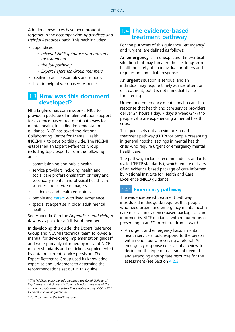Additional resources have been brought together in the accompanying Appendices and Helpful Resources pack. This pack includes:

- appendices
	- relevant NICE guidance and outcomes measurement
	- the full pathway
	- Expert Reference Group members
- positive practice examples and models
- links to helpful web-based resources.

### 1.3 **How was this document developed?**

NHS England has commissioned NICE to provide a package of implementation support for evidence-based treatment pathways for mental health, including implementation guidance. NICE has asked the National Collaborating Centre for Mental Health  $(NCCMH)^c$  to develop this guide. The NCCMH established an Expert Reference Group including topic experts from the following areas:

- commissioning and public health
- service providers including health and social care professionals from primary and secondary mental and physical health care services and service managers
- academics and health educators
- people and [carers](#page-43-0) with lived experience
- specialist expertise in older adult mental health.

See Appendix C in the Appendices and Helpful Resources pack for a full list of members.

In developing this guide, the Expert Reference Group and NCCMH technical team followed a manual for developing implementation quides<sup>d</sup> and were primarily informed by relevant NICE quality standards and guidelines supplemented by data on current service provision. The Expert Reference Group used its knowledge, expertise and judgement to determine the recommendations set out in this guide.

## 1.4 **The evidence-based treatment pathway**

For the purposes of this guidance, 'emergency' and 'urgent' are defined as follows:

An **emergency** is an unexpected, time-critical situation that may threaten the life, long-term health or safety of an individual or others and requires an immediate response.

An **urgent** situation is serious, and an individual may require timely advice, attention or treatment, but it is not immediately life threatening.

Urgent and emergency mental health care is a response that health and care service providers deliver 24 hours a day, 7 days a week (24/7) to people who are experiencing a mental health crisis.

This guide sets out an evidence-based treatment pathway (EBTP) for people presenting in general hospital settings in mental health crisis who require urgent or emergency mental health care.

The pathway includes recommended standards (called 'EBTP standards'), which require delivery of an evidence-based package of care informed by National Institute for Health and Care Excellence (NICE) guidance.

### 1.4.1 **Emergency pathway**

The evidence-based treatment pathway introduced in this guide requires that people who need urgent and emergency mental health care receive an evidence-based package of care informed by NICE guidance within four hours of presenting in an ED or referral from a ward.

• An urgent and emergency liaison mental health service should respond to the person within one hour of receiving a referral. An emergency response consists of a review to decide on the type of assessment needed and arranging appropriate resources for the assessment (see Section [4.2.2](#page-26-0))

 $\epsilon$  The NCCMH, a partnership between the Royal College of Psychiatrists and University College London, was one of the national collaborating centres first established by NICE in 2001 to develop clinical guidelines.

d Forthcoming on the NICE website.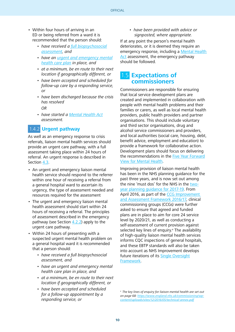- Within four hours of arriving in an ED or being referred from a ward it is recommended that the person should:
	- have received a full biopsychosocial [assessment,](#page-43-0) and
	- have an [urgent and emergency mental](#page-44-0) [health care plan](#page-44-0) in place, and
	- at a minimum, be en route to their next location if geographically different, or
	- have been accepted and scheduled for follow-up care by a responding service, or
	- have been discharged because the crisis has resolved

 $\bigcap$ 

• have started a [Mental Health Act](http://www.legislation.gov.uk/ukpga/1983/20/contents) assessment.

## 1.4.2 **Urgent pathway**

As well as an emergency response to crisis referrals, liaison mental health services should provide an urgent care pathway, with a full assessment taking place within 24 hours of referral. An urgent response is described in Section [4.3](#page-28-0).

- An urgent and emergency liaison mental health service should respond to the referrer within one hour of receiving a referral from a general hospital ward to ascertain its urgency, the type of assessment needed and resources required for the assessment
- The urgent and emergency liaison mental health assessment should start within 24 hours of receiving a referral. The principles of assessment described in the emergency pathway (see Section  $4.2.2$ ) apply to the urgent care pathway.
- Within 24 hours of presenting with a suspected urgent mental health problem on a general hospital ward it is recommended that a person should:
	- have received a full biopsychosocial assessment, and
	- have an urgent and emergency mental health care plan in place, and
	- at a minimum, be en route to their next location if geographically different, or
	- have been accepted and scheduled for a follow-up appointment by a responding service, or

• have been provided with advice or signposted, where appropriate.

If at any point the person's mental health deteriorates, or it is deemed they require an emergency response, including a [Mental Health](http://www.legislation.gov.uk/ukpga/1983/20/contents)  [Act](http://www.legislation.gov.uk/ukpga/1983/20/contents) assessment, the emergency pathway should be followed.

## 1.5 **Expectations of commissioners**

Commissioners are responsible for ensuring that local service development plans are created and implemented in collaboration with people with mental health problems and their families or carers, as well as local mental health providers, public health providers and partner organisations. This should include voluntary and third sector organisations, drug and alcohol service commissioners and providers, and local authorities (social care, housing, debt, benefit advice, employment and education) to provide a framework for collaborative action. Development plans should focus on delivering the recommendations in the [Five Year Forward](https://www.england.nhs.uk/wp-content/uploads/2016/02/Mental-Health-Taskforce-FYFV-final.pdf) [View for Mental Health.](https://www.england.nhs.uk/wp-content/uploads/2016/02/Mental-Health-Taskforce-FYFV-final.pdf)

Improving provision of liaison mental health has been in the NHS planning guidance for the past three years, and is now set out among the nine 'must dos' for the NHS in the [two](https://www.england.nhs.uk/ourwork/futurenhs/deliver-forward-view/)[year planning guidance for 2017-19.](https://www.england.nhs.uk/ourwork/futurenhs/deliver-forward-view/) From April 2016, as part of the [CCG Improvement](https://www.england.nhs.uk/commissioning/ccg-auth/)  [and Assessment Framework 2016/17,](https://www.england.nhs.uk/commissioning/ccg-auth/) clinical commissioning groups (CCGs) were further asked to ensure that agreed and funded plans are in place to aim for core 24 service level by 2020/21, as well as conducting a self-assessment of current provision against selected key lines of enquiry.<sup>e</sup> The availability of high-quality liaison mental health services informs CQC inspections of general hospitals, and these EBTP standards will also be taken into account as NHS Improvement develops future iterations of its [Single Oversight](https://improvement.nhs.uk/uploads/documents/Single_Oversight_Framework_published_30_September_2016.pdf) [Framework](https://improvement.nhs.uk/uploads/documents/Single_Oversight_Framework_published_30_September_2016.pdf).

e The key lines of enquiry for liaison mental health are set out on page 68: [https://www.england.nhs.uk/commissioning/wp](https://www.england.nhs.uk/commissioning/wp-content/uploads/sites/12/2016/05/technical-annex.pdf)[content/uploads/sites/12/2016/05/technical-annex.pdf](https://www.england.nhs.uk/commissioning/wp-content/uploads/sites/12/2016/05/technical-annex.pdf)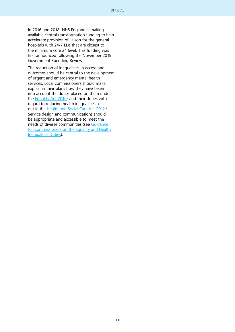In 2016 and 2018, NHS England is making available central transformation funding to help accelerate provision of liaison for the general hospitals with 24/7 EDs that are closest to the minimum core 24 level. This funding was first announced following the November 2015 Government Spending Review.

The reduction of inequalities in access and outcomes should be central to the development of urgent and emergency mental health services. Local commissioners should make explicit in their plans how they have taken into account the duties placed on them under the [Equality Act 2010](http://www.legislation.gov.uk/ukpga/2010/15/contents)<sup>6</sup> and their duties with regard to reducing health inequalities as set out in the [Health and Social Care Act 2012.](http://www.legislation.gov.uk/ukpga/2012/7/contents/enacted)<sup>7</sup> Service design and communications should be appropriate and accessible to meet the needs of diverse communities (see [Guidance](https://www.england.nhs.uk/about/gov/equality-hub/legal-duties/) [for Commissioners on the Equality and Health](https://www.england.nhs.uk/about/gov/equality-hub/legal-duties/) [Inequalities Duties](https://www.england.nhs.uk/about/gov/equality-hub/legal-duties/)).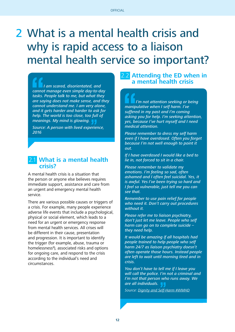# 2 What is a mental health crisis and why is rapid access to a liaison mental health service so important?

 I am scared, disorientated, and cannot manage even simple day-to-day tasks. People talk to me, but what they are saying does not make sense, and they cannot understand me. I am very alone, and it gets harder and harder to ask for help. The world is too close, too full of meanings. My mind is glowing.

Source: A person with lived experience, 2016

### 2.1 **What is a mental health crisis?**

A mental health crisis is a situation that the person or anyone else believes requires immediate support, assistance and care from an urgent and emergency mental health service.

There are various possible causes or triggers of a crisis. For example, many people experience adverse life events that include a psychological, physical or social element, which leads to a need for an urgent or emergency response from mental health services. All crises will be different in their cause, presentation and progression. It is important to identify the trigger (for example, abuse, trauma or homelessness<sup>8</sup>), associated risks and options for ongoing care, and respond to the crisis according to the individual's need and circumstances.

## **Attending the ED when in a mental health crisis**

 I'm not attention seeking or being manipulative when I self harm. I've suffered in my past and I'm coming asking you for help. I'm seeking attention, yes, because I've hurt myself and I need medical attention.

Please remember to dress my self harm even if I have overdosed. Often you forget because I'm not well enough to point it out.

If I have overdosed I would like a bed to lie in, not forced to sit in a chair.

Please remember to validate my emotions. I'm feeling so sad, often ashamed and I often feel suicidal. Yes, it is awful. Yes I've been trying so hard and I feel so vulnerable, just tell me you can see that.

Remember to use pain relief for people who need it. Don't carry out procedures without it.

Please refer me to liaison psychiatry, don't just let me leave. People who self harm can go on to complete suicide they need help.

It would be amazing if all hospitals had people trained to help people who self harm 24/7 as liaison psychiatry doesn't often operate those hours. Instead people are left to wait until morning tired and in crisis.

You don't have to tell me if I leave you will call the police. I'm not a criminal and I'm not that person who runs away. We are all individuals.

Source: [Dignity and Self-Harm #WMHD](https://bpdffs.wordpress.com/2015/10/09/dignity-and-self-harm-wmhd/)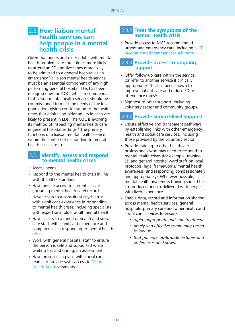## <span id="page-12-0"></span>2.3 **How liaison mental health services can help people in a mental health crisis**

Given that adults and older adults with mental health problems are three times more likely to attend an ED and five times more likely to be admitted to a general hospital as an emergency,<sup>9</sup> a liaison mental health service must be an essential component of any highperforming general hospital. This has been recognised by the CQC, which recommends that liaison mental health services should be commissioned to meet the needs of the local population, giving consideration to the peak times that adults and older adults in crisis are likely to present in EDs. The CQC is evolving its method of inspecting mental health care in general hospital settings.<sup>2</sup> The primary functions of a liaison mental health service within the context of responding to mental health crises are to:

#### 2.3.1 **Identify, assess and respond to mental health crises**

- Assess needs
- Respond to the mental health crisis in line with the EBTP standard
- Have on-site access to current clinical (including mental health care) records
- Have access to a consultant psychiatrist with significant experience in responding to mental health crises, including specialists with expertise in older adult mental health
- Have access to a range of health and social care staff with significant experience and competences in responding to mental health crises
- Work with general hospital staff to ensure the person is safe and supported while waiting for, and during, an assessment
- Have protocols in place with social care teams to provide swift access to [Mental](http://www.legislation.gov.uk/ukpga/1983/20/contents) [Health Act](http://www.legislation.gov.uk/ukpga/1983/20/contents) assessments.

#### 2.3.2 **Treat the symptoms of the mental health crisis**

• Provide access to NICE-recommended urgent and emergency care, including [NICE](https://www.nice.org.uk/guidance/conditions-and-diseases/mental-health-and-behavioural-conditions/self-harm)[recommended treatment for self-harm](https://www.nice.org.uk/guidance/conditions-and-diseases/mental-health-and-behavioural-conditions/self-harm).

## 2.3.3 **Provide access to ongoing support**

- Offer follow-up care within the service (or refer to another service if clinically appropriate). This has been shown to improve patient care and reduce ED reattendance rates<sup>10 11</sup>
- Signpost to other support, including voluntary sector and community groups.

## 2.3.4 **Provide service-level support**

- Ensure effective and transparent pathways by establishing links with other emergency, health and social care services, including those provided by the voluntary sector
- Provide training to other healthcare professionals who may need to respond to mental health crises (for example, training ED and general hospital ward staff on local protocols, legal frameworks, mental health awareness, and responding compassionately and appropriately). Wherever possible, mental health awareness training should be co-produced and co-delivered with people with lived experience
- Enable data, record and information sharing across mental health services, general hospitals, primary care and other health and social care services to ensure:
	- rapid, appropriate and safe treatment
	- timely and effective community-based follow-up
	- that patients' up-to-date histories and preferences are known.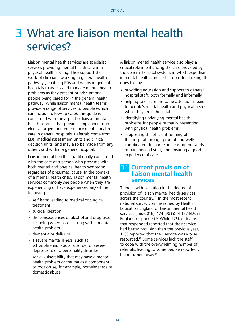# 3 What are liaison mental health services?

Liaison mental health services are specialist services providing mental health care in a physical health setting. They support the work of clinicians working in general health pathways, enabling EDs and wards in general hospitals to assess and manage mental health problems as they present or arise among people being cared for in the general health pathway. While liaison mental health teams provide a range of services to people (which can include follow-up care), this guide is concerned with the aspect of liaison mental health services that provides unplanned, nonelective urgent and emergency mental health care in general hospitals. Referrals come from EDs, medical assessment units and clinical decision units, and may also be made from any other ward within a general hospital.

Liaison mental health is traditionally concerned with the care of a person who presents with both mental and physical health symptoms regardless of presumed cause. In the context of a mental health crisis, liaison mental health services commonly see people when they are experiencing or have experienced any of the following:

- self-harm leading to medical or surgical treatment
- suicidal ideation
- the consequences of alcohol and drug use, including when co-occurring with a mental health problem
- dementia or delirium
- a severe mental illness, such as schizophrenia, bipolar disorder or severe depression, or a personality disorder
- social vulnerability that may have a mental health problem or trauma as a component or root cause, for example, homelessness or domestic abuse.

A liaison mental health service also plays a critical role in enhancing the care provided by the general hospital system, in which expertise in mental health care is still too often lacking. It does this by:

- providing education and support to general hospital staff, both formally and informally
- helping to ensure the same attention is paid to people's mental health and physical needs while they are in hospital
- identifying underlying mental health problems for people primarily presenting with physical health problems
- supporting the efficient running of the hospital through prompt and wellcoordinated discharge, increasing the safety of patients and staff, and ensuring a good experience of care.

## 3.1 **Current provision of liaison mental health services**

There is wide variation in the degree of provision of liaison mental health services across the country.<sup>12</sup> In the most recent national survey commissioned by Health Education England of liaison mental health services (mid-2016), 174 (98%) of 177 EDs in England responded.13 While 52% of teams that responded reported that their service had better provision than the previous year, 15% reported that their service was worseresourced.13 Some services lack the staff to cope with the overwhelming number of referrals, leading to some people reportedly being turned away.14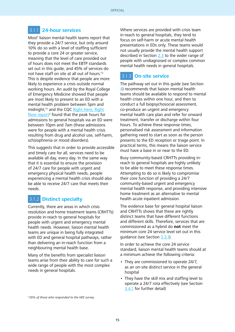## 3.1.1 **24-hour services**

Most<sup>f</sup> liaison mental health teams report that they provide a 24/7 service, but only around 10% do so with a level of staffing sufficient to provide a core 24 or greater service, meaning that the level of care provided out of hours does not meet the EBTP standards set out in this guide, and 45% of services do not have staff on site at all out of hours.13 This is despite evidence that people are more likely to experience a crisis outside normal working hours. An audit by the Royal College of Emergency Medicine showed that people are most likely to present to an ED with a mental health problem between 5pm and midnight,15 and the CQC [Right Here, Right](https://www.cqc.org.uk/sites/default/files/20150611_righthere_mhcrisiscare_summary_3.pdf) [Now report](https://www.cqc.org.uk/sites/default/files/20150611_righthere_mhcrisiscare_summary_3.pdf)<sup>2</sup> found that the peak hours for admissions to general hospitals via an ED were between 10pm and 7am (these admissions were for people with a mental health crisis resulting from drug and alcohol use, self-harm, schizophrenia or mood disorders).

This suggests that in order to provide accessible and timely care for all, services need to be available all day, every day. In the same way that it is essential to ensure the provision of 24/7 care for people with urgent and emergency physical health needs, people experiencing a mental health crisis should also be able to receive 24/7 care that meets their needs.

## 3.1.2 **Distinct specialty**

Currently, there are areas in which crisis resolution and home treatment teams (CRHTTs) provide in-reach to general hospitals for people with urgent and emergency mental health needs. However, liaison mental health teams are unique in being fully integrated with ED and general hospital pathways, rather than delivering an in-reach function from a neighbouring mental health base.

Many of the benefits from specialist liaison teams arise from their ability to care for such a wide range of people with the most complex needs in general hospitals.

Where services are provided with crisis team in-reach to general hospitals, they tend to focus on self-harm or acute mental health presentations in EDs only. These teams would not usually provide the mental health support described in Section 2.[3](#page-12-0) to the wider range of people with undiagnosed or complex common mental health needs in general hospitals.

## 3.1.3 **On-site service**

The pathway set out in this guide (see Section [4\)](#page-22-0) recommends that liaison mental health teams should be available to respond to mental health crises within one hour, and then to conduct a full biopsychosocial assessment, co-produce an urgent and emergency mental health care plan and refer for onward treatment, transfer or discharge within four hours. To achieve these response times, personalised risk assessment and information gathering need to start as soon as the person presents to the ED reception or triage point. In practical terms, this means the liaison service must have a base in or near to the ED.

Busy community-based CRHTTs providing inreach to general hospitals are highly unlikely to be able to meet these response times. Attempting to do so is likely to compromise their core function of providing a 24/7 community-based urgent and emergency mental health response, and providing intensive home treatment as an alternative to mental health acute inpatient admission.

The evidence base for general hospital liaison and CRHTTs shows that these are rightly distinct teams that have different functions and different skills. Therefore, services that are commissioned as a hybrid do **not** meet the minimum core 24 service level set out in this quidance (see Section [3.3.1](#page-16-0)).

In order to achieve the core 24 service standard, liaison mental health teams should at a minimum achieve the following criteria:

- They are commissioned to operate 24/7, as an on-site distinct service in the general hospital
- They have the skill mix and staffing level to operate a 24/7 rota effectively (see Section [3.4.1](#page-17-0) for further detail)

f 55% of those who responded to the HEE survey.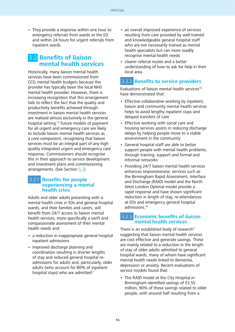• They provide a response within one hour to emergency referrals from wards or the ED and within 24 hours for urgent referrals from inpatient wards.

## 3.2 **Benefits of liaison mental health services**

Historically, many liaison mental health services have been commissioned from CCG mental health budgets because the provider has typically been the local NHS mental health provider. However, there is increasing recognition that this arrangement fails to reflect the fact that the quality and productivity benefits achieved through investment in liaison mental health services are realised almost exclusively in the general hospital setting.12 Future models of payment for all urgent and emergency care are likely to include liaison mental health services as a core component, recognising that liaison services must be an integral part of any high quality integrated urgent and emergency care response. Commissioners should recognise this in their approach to service development and investment plans and commissioning arrangements. (See Section [5.7\)](#page-41-0).

#### 3.2.1 **Benefits for people experiencing a mental health crisis**

Adults and older adults presenting with a mental health crisis in EDs and general hospital wards, and their families and carers, will benefit from 24/7 access to liaison mental health services, more specifically a swift and compassionate assessment of their mental health needs and:

- a reduction in inappropriate general hospital inpatient admissions
- improved discharge planning and coordination resulting in shorter lengths of stay and reduced general hospital readmissions for adults and, particularly, older adults (who account for 80% of inpatient hospital stays) who are admitted<sup>11</sup>
- an overall improved experience of services resulting from care provided by well-trained and knowledgeable general hospital staff who are not necessarily trained as mental health specialists but can more readily recognise mental health needs
- clearer referral routes and a better understanding of how to ask for help in their local area.

### 3.2.2 **Benefits to service providers**

Evaluations of liaison mental health services<sup>10</sup> have demonstrated that:

- Effective collaborative working by inpatient, liaison and community mental health services helps to avoid lengthy inpatient stays and delayed transfers of care
- Effective working with social care and housing services assists in reducing discharge delays by helping people move to a stable environment in the community
- General hospital staff are able to better support people with mental health problems, through training, support and formal and informal networks
- Providing 24/7 liaison mental health services enhances responsiveness; services such as the Birmingham Rapid Assessment, Interface and Discharge (RAID) model and the North West London Optimal model provide a rapid response and have shown significant reduction in length of stay, re-attendances at EDs and emergency general hospital admissions.16

## 3.2.3 **Economic benefits of liaison mental health services**

There is an established body of research<sup>17</sup> suggesting that liaison mental health services are cost effective and generate savings. These are mainly related to a reduction in the length of stay of older adults admitted to general hospital wards, many of whom have significant mental health needs linked to dementia, depression or anxiety. Recent evaluations of service models found that:

• The RAID model at the City Hospital in Birmingham identified savings of £3.55 million; 90% of these savings related to older people, with around half resulting from a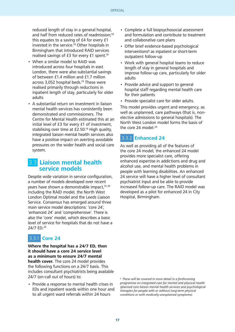<span id="page-16-0"></span>reduced length of stay in a general hospital, and half from reduced rates of readmission;<sup>18</sup> this equates to a saving of £4 for every £1 invested in the service.18 Other hospitals in Birmingham that introduced RAID services realised savings of £3 for every £1 spent.<sup>18</sup>

- When a similar model to RAID was introduced across four hospitals in east London, there were also substantial savings of between £1.4 million and £1.7 million across 3,052 hospital beds.19 These were realised primarily through reductions in inpatient length of stay, particularly for older adults
- A substantial return on investment in liaison mental health services has consistently been demonstrated and commissioners. The Centre for Mental Health estimated this at an initial level of £3 for every £1 of investment, stabilising over time at £2.50.<sup>18</sup> High quality, integrated liaison mental health services also have a positive impact on averting avoidable pressures on the wider health and social care system.

## 3.3 **Liaison mental health service models**

Despite wide variation in service configuration, a number of models developed over recent years have shown a demonstrable impact,<sup>10 20</sup> including the RAID model, the North West London Optimal model and the Leeds Liaison Service. Consensus has emerged around three main service model descriptions: 'core 24', 'enhanced 24' and 'comprehensive'. There is also the 'core' model, which describes a basic level of service for hospitals that do not have a 24/7 ED.20

## 3.3.1 **Core 24**

**Where the hospital has a 24/7 ED, then it should have a core 24 service level as a minimum to ensure 24/7 mental health cover.** The core 24 model provides the following functions on a 24/7 basis. This includes consultant psychiatrists being available 24/7 (on-call out of hours) to:

• Provide a response to mental health crises in EDs and inpatient wards within one hour and to all urgent ward referrals within 24 hours

- Complete a full biopsychosocial assessment and formulation and contribute to treatment and collaborative care plans
- Offer brief evidence-based psychological interventions<sup>9</sup> as inpatient or short-term outpatient follow-up
- Work with general hospital teams to reduce length of stay in general hospitals and improve follow-up care, particularly for older adults
- Provide advice and support to general hospital staff regarding mental health care for their patients
- Provide specialist care for older adults.

This model provides urgent and emergency, as well as unplanned, care pathways (that is, nonelective admissions to general hospitals). The North West London model forms the basis of the core 24 model.<sup>20</sup>

## 3.3.2 **Enhanced 24**

As well as providing all of the features of the core 24 model, the enhanced 24 model provides more specialist care, offering enhanced expertise in addictions and drug and alcohol use, and mental health problems in people with learning disabilities. An enhanced 24 service will have a higher level of consultant psychiatrist input and be able to provide increased follow-up care. The RAID model was developed as a pilot for enhanced 24 in City Hospital, Birmingham.

<sup>9</sup> These will be covered in more detail in a forthcomina programme on integrated care for mental and physical health (planned care liaison mental health services and psychological therapies for people with or without long-term physical conditions or with medically unexplained symptoms).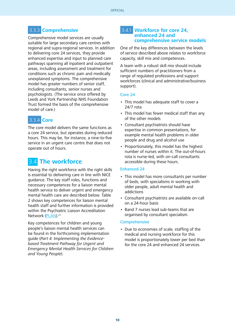## <span id="page-17-0"></span>3.3.3 **Comprehensive**

Comprehensive model services are usually suitable for large secondary care centres with regional and supra-regional services. In addition to delivering core 24 services, they provide enhanced expertise and input to planned care pathways spanning all inpatient and outpatient areas, including assessment and treatment for conditions such as chronic pain and medically unexplained symptoms. The comprehensive model has greater numbers of senior staff, including consultants, senior nurses and psychologists. (The service once offered by Leeds and York Partnership NHS Foundation Trust formed the basis of the comprehensive model of care.)

## 3.3.4 **Core**

The core model delivers the same functions as a core 24 service, but operates during reduced hours. This may be, for instance, a nine-to-five service in an urgent care centre that does not operate out of hours.

## 3.4 **The workforce**

Having the right workforce with the right skills is essential to delivering care in line with NICE guidance. The key staff roles, functions and necessary competences for a liaison mental health service to deliver urgent and emergency mental health care are described below. Table 2 shows key competences for liaison mental health staff and further information is provided within the Psychiatric Liaison Accreditation Network ([PLAN](http://www.rcpsych.ac.uk/pdf/Standards 4th edition 2014.pdf)).21

Key competences for children and young people's liaison mental health services can be found in the forthcoming implementation guide (Part 4: Implementing the Evidencebased Treatment Pathway for Urgent and Emergency Mental Health Services for Children and Young People).

#### 3.4.1 **Workforce for core 24, enhanced 24 and comprehensive service models**

One of the key differences between the levels of service described above relates to workforce capacity, skill mix and competences.

A team with a robust skill mix should include sufficient numbers of practitioners from a range of regulated professions and support workforces (clinical and administrative/business support).

#### Core 24

- This model has adequate staff to cover a 24/7 rota
- This model has fewer medical staff than any of the other models
- Consultant psychiatrists should have expertise in common presentations, for example mental health problems in older people and drug and alcohol use
- Proportionately, this model has the highest number of nurses within it. The out-of-hours rota is nurse-led, with on-call consultants accessible during these hours.

#### Enhanced 24

- This model has more consultants per number of beds, with specialisms in working with older people, adult mental health and addictions
- Consultant psychiatrists are available on-call on a 24-hour basis
- Band 7 nurses lead sub-teams that are organised by consultant specialism.

#### **Comprehensive**

• Due to economies of scale, staffing of the medical and nursing workforce for this model is proportionately lower per bed than for the core 24 and enhanced 24 services.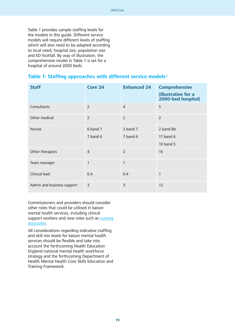Table 1 provides sample staffing levels for the models in this guide. Different service models will require different levels of staffing, which will also need to be adapted according to local need, hospital size, population size and ED footfall. By way of illustration, the comprehensive model in Table 1 is set for a hospital of around 2000 beds.

#### **Table 1: Staffing approaches with different service models**<sup>22</sup>

| <b>Staff</b>               | Core 24        | <b>Enhanced 24</b> | <b>Comprehensive</b><br>(illustrative for a<br>2000-bed hospital) |
|----------------------------|----------------|--------------------|-------------------------------------------------------------------|
| Consultants                | $\overline{2}$ | $\overline{4}$     | 5                                                                 |
| Other medical              | $\overline{2}$ | $\overline{2}$     | $\overline{2}$                                                    |
| <b>Nurses</b>              | 6 band 7       | 3 band 7           | 2 band 8b                                                         |
|                            | 7 band 6       | 7 band 6           | 17 band 6                                                         |
|                            |                |                    | 10 band 5                                                         |
| Other therapists           | $\overline{4}$ | $\overline{2}$     | 16                                                                |
| Team manager               | 1              | $\mathbf{1}$       |                                                                   |
| Clinical lead              | 0.4            | 0.4                | 1                                                                 |
| Admin and business support | 3              | 3                  | 13                                                                |

Commissioners and providers should consider other roles that could be utilised in liaison mental health services, including clinical support workers and new roles such as [nursing](https://hee.nhs.uk/our-work/developing-our-workforce/nursing/new-support-role-nursing) [associates.](https://hee.nhs.uk/our-work/developing-our-workforce/nursing/new-support-role-nursing)

All considerations regarding indicative staffing and skill mix levels for liaison mental health services should be flexible and take into account the forthcoming Health Education England national mental health workforce strategy and the forthcoming Department of Health Mental Health Core Skills Education and Training Framework.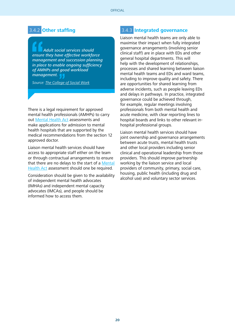## 3.4.2 **Other staffing**

 Adult social services should ensure they have effective workforce management and succession planning in place to enable ongoing sufficiency of AMHPs and good workload management.

Source: [The College of Social Work](https://www.basw.co.uk/resources/tcsw/Roles and Functions of Mental Health Social Workers 2014.pdf)

There is a legal requirement for approved mental health professionals (AMHPs) to carry out [Mental Health Act](http://www.legislation.gov.uk/ukpga/1983/20/contents) assessments and make applications for admission to mental health hospitals that are supported by the medical recommendations from the section 12 approved doctor.

Liaison mental health services should have access to appropriate staff either on the team or through contractual arrangements to ensure that there are no delays to the start of a [Mental](http://www.legislation.gov.uk/ukpga/1983/20/contents)  [Health Act](http://www.legislation.gov.uk/ukpga/1983/20/contents) assessment should one be required.

Consideration should be given to the availability of independent mental health advocates (IMHAs) and independent mental capacity advocates (IMCAs), and people should be informed how to access them.

#### 3.4.3 **Integrated governance**

Liaison mental health teams are only able to maximise their impact when fully integrated governance arrangements (involving senior clinical staff) are in place with EDs and other general hospital departments. This will help with the development of relationships, processes and shared learning between liaison mental health teams and EDs and ward teams, including to improve quality and safety. There are opportunities for shared learning from adverse incidents, such as people leaving EDs and delays in pathways. In practice, integrated governance could be achieved through, for example, regular meetings involving professionals from both mental health and acute medicine, with clear reporting lines to hospital boards and links to other relevant inhospital professional groups.

Liaison mental health services should have joint ownership and governance arrangements between acute trusts, mental health trusts and other local providers including senior clinical and operational leadership from those providers. This should improve partnership working by the liaison service and local providers of community, primary, social care, housing, public health (including drug and alcohol use) and voluntary sector services.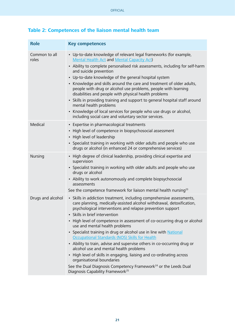| <b>Role</b>            | <b>Key competences</b>                                                                                                                                                                                                                         |  |  |  |
|------------------------|------------------------------------------------------------------------------------------------------------------------------------------------------------------------------------------------------------------------------------------------|--|--|--|
| Common to all<br>roles | • Up-to-date knowledge of relevant legal frameworks (for example,<br><b>Mental Health Act and Mental Capacity Act)</b>                                                                                                                         |  |  |  |
|                        | • Ability to complete personalised risk assessments, including for self-harm<br>and suicide prevention                                                                                                                                         |  |  |  |
|                        | • Up-to-date knowledge of the general hospital system                                                                                                                                                                                          |  |  |  |
|                        | • Knowledge and skills around the care and treatment of older adults,<br>people with drug or alcohol use problems, people with learning<br>disabilities and people with physical health problems                                               |  |  |  |
|                        | • Skills in providing training and support to general hospital staff around<br>mental health problems                                                                                                                                          |  |  |  |
|                        | • Knowledge of local services for people who use drugs or alcohol,<br>including social care and voluntary sector services.                                                                                                                     |  |  |  |
| Medical                | • Expertise in pharmacological treatments                                                                                                                                                                                                      |  |  |  |
|                        | • High level of competence in biopsychosocial assessment<br>• High level of leadership                                                                                                                                                         |  |  |  |
|                        | • Specialist training in working with older adults and people who use<br>drugs or alcohol (in enhanced 24 or comprehensive services)                                                                                                           |  |  |  |
| Nursing                | • High degree of clinical leadership, providing clinical expertise and<br>supervision                                                                                                                                                          |  |  |  |
|                        | • Specialist training in working with older adults and people who use<br>drugs or alcohol                                                                                                                                                      |  |  |  |
|                        | • Ability to work autonomously and complete biopsychosocial<br>assessments                                                                                                                                                                     |  |  |  |
|                        | See the competence framework for liaison mental health nursing <sup>23</sup>                                                                                                                                                                   |  |  |  |
| Drugs and alcohol      | • Skills in addiction treatment, including comprehensive assessments,<br>care planning, medically-assisted alcohol withdrawal, detoxification,<br>psychological interventions and relapse prevention support<br>• Skills in brief intervention |  |  |  |
|                        | • High level of competence in assessment of co-occurring drug or alcohol<br>use and mental health problems                                                                                                                                     |  |  |  |
|                        | • Specialist training in drug or alcohol use in line with National<br>Occupational Standards (NOS) Skills for Health                                                                                                                           |  |  |  |
|                        | • Ability to train, advise and supervise others in co-occurring drug or<br>alcohol use and mental health problems                                                                                                                              |  |  |  |
|                        | • High level of skills in engaging, liaising and co-ordinating across<br>organisational boundaries                                                                                                                                             |  |  |  |
|                        | See the Dual Diagnosis Competency Framework <sup>24</sup> or the Leeds Dual<br>Diagnosis Capability Framework <sup>25</sup>                                                                                                                    |  |  |  |

## **Table 2: Competences of the liaison mental health team**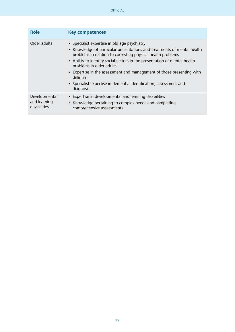| <b>Role</b>                                   | <b>Key competences</b>                                                                                                                                                                                                                                                                                                                                                                                                                                                 |
|-----------------------------------------------|------------------------------------------------------------------------------------------------------------------------------------------------------------------------------------------------------------------------------------------------------------------------------------------------------------------------------------------------------------------------------------------------------------------------------------------------------------------------|
| Older adults                                  | • Specialist expertise in old age psychiatry<br>• Knowledge of particular presentations and treatments of mental health<br>problems in relation to coexisting physical health problems<br>• Ability to identify social factors in the presentation of mental health<br>problems in older adults<br>• Expertise in the assessment and management of those presenting with<br>delirium<br>• Specialist expertise in dementia identification, assessment and<br>diagnosis |
| Developmental<br>and learning<br>disabilities | • Expertise in developmental and learning disabilities<br>• Knowledge pertaining to complex needs and completing<br>comprehensive assessments                                                                                                                                                                                                                                                                                                                          |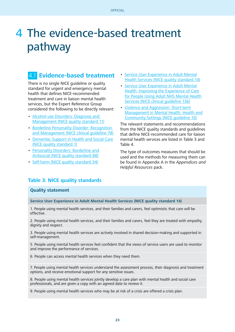# <span id="page-22-0"></span>4 The evidence-based treatment pathway

## 4.1 **Evidence-based treatment**

There is no single NICE guideline or quality standard for urgent and emergency mental health that defines NICE-recommended treatment and care in liaison mental health services, but the Expert Reference Group considered the following to be directly relevant:

- [Alcohol-use Disorders: Diagnosis and](https://www.nice.org.uk/guidance/qs11)  [Management \(NICE quality standard 11\)](https://www.nice.org.uk/guidance/qs11)
- [Borderline Personality Disorder: Recognition](https://www.nice.org.uk/guidance/cg78)  [and Management \(NICE clinical guideline 78\)](https://www.nice.org.uk/guidance/cg78)
- [Dementia: Support in Health and Social Care](https://www.nice.org.uk/guidance/qs1) [\(NICE quality standard 1\)](https://www.nice.org.uk/guidance/qs1)
- [Personality Disorders: Borderline and](https://www.nice.org.uk/guidance/qs88) [Antisocial \(NICE quality standard 88\)](https://www.nice.org.uk/guidance/qs88)
- [Self-harm \(NICE quality standard 34\)](https://www.nice.org.uk/guidance/qs34)
- [Service User Experience in Adult Mental](https://www.nice.org.uk/guidance/qs14) [Health Services \(NICE quality standard 14\)](https://www.nice.org.uk/guidance/qs14)
- [Service User Experience in Adult Mental](https://www.nice.org.uk/guidance/cg136) [Health: Improving the Experience of Care](https://www.nice.org.uk/guidance/cg136) [for People Using Adult NHS Mental Health](https://www.nice.org.uk/guidance/cg136) [Services \(NICE clinical guideline 136\)](https://www.nice.org.uk/guidance/cg136)
- [Violence and Aggression: Short-term](https://www.nice.org.uk/guidance/ng10) [Management in Mental Health, Health and](https://www.nice.org.uk/guidance/ng10) [Community Settings \(NICE guideline 10\)](https://www.nice.org.uk/guidance/ng10)

The relevant statements and recommendations from the NICE quality standards and guidelines that define NICE-recommended care for liaison mental health services are listed in Table 3 and Table 4.

The type of outcomes measures that should be used and the methods for measuring them can be found in Appendix A in the Appendices and Helpful Resources pack.

#### **Table 3: NICE quality standards**

#### **Quality statement**

**Service User Experience in Adult Mental Health Services (NICE quality standard 14)**

1. People using mental health services, and their families and carers, feel optimistic that care will be effective.

2. People using mental health services, and their families and carers, feel they are treated with empathy, dignity and respect.

3. People using mental health services are actively involved in shared decision-making and supported in self-management.

5. People using mental health services feel confident that the views of service users are used to monitor and improve the performance of services.

6. People can access mental health services when they need them.

7. People using mental health services understand the assessment process, their diagnosis and treatment options, and receive emotional support for any sensitive issues.

8. People using mental health services jointly develop a care plan with mental health and social care professionals, and are given a copy with an agreed date to review it.

9. People using mental health services who may be at risk of a crisis are offered a crisis plan.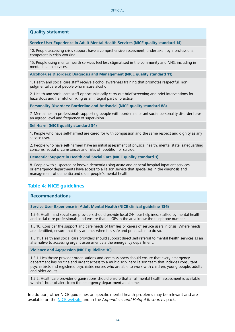#### **Quality statement**

**Service User Experience in Adult Mental Health Services (NICE quality standard 14)**

10. People accessing crisis support have a comprehensive assessment, undertaken by a professional competent in crisis working.

15. People using mental health services feel less stigmatised in the community and NHS, including in mental health services.

**Alcohol-use Disorders: Diagnosis and Management (NICE quality standard 11)**

1. Health and social care staff receive alcohol awareness training that promotes respectful, nonjudgmental care of people who misuse alcohol.

2. Health and social care staff opportunistically carry out brief screening and brief interventions for hazardous and harmful drinking as an integral part of practice.

**Personality Disorders: Borderline and Antisocial (NICE quality standard 88)**

7. Mental health professionals supporting people with borderline or antisocial personality disorder have an agreed level and frequency of supervision.

**Self-harm (NICE quality standard 34)**

1. People who have self-harmed are cared for with compassion and the same respect and dignity as any service user.

2. People who have self-harmed have an initial assessment of physical health, mental state, safeguarding concerns, social circumstances and risks of repetition or suicide.

**Dementia: Support in Health and Social Care (NICE quality standard 1)**

8. People with suspected or known dementia using acute and general hospital inpatient services or emergency departments have access to a liaison service that specialises in the diagnosis and management of dementia and older people's mental health.

#### **Table 4: NICE guidelines**

#### **Recommendations**

**Service User Experience in Adult Mental Health (NICE clinical guideline 136)**

1.5.6. Health and social care providers should provide local 24-hour helplines, staffed by mental health and social care professionals, and ensure that all GPs in the area know the telephone number.

1.5.10. Consider the support and care needs of families or carers of service users in crisis. Where needs are identified, ensure that they are met when it is safe and practicable to do so.

1.5.11. Health and social care providers should support direct self-referral to mental health services as an alternative to accessing urgent assessment via the emergency department.

**Violence and Aggression (NICE guideline 10)**

1.5.1. Healthcare provider organisations and commissioners should ensure that every emergency department has routine and urgent access to a multidisciplinary liaison team that includes consultant psychiatrists and registered psychiatric nurses who are able to work with children, young people, adults and older adults.

1.5.2. Healthcare provider organisations should ensure that a full mental health assessment is available within 1 hour of alert from the emergency department at all times.

In addition, other NICE guidelines on specific mental health problems may be relevant and are available on the [NICE website](https://www.nice.org.uk/guidance/conditions-and-diseases/mental-health-and-behavioural-conditions) and in the Appendices and Helpful Resources pack.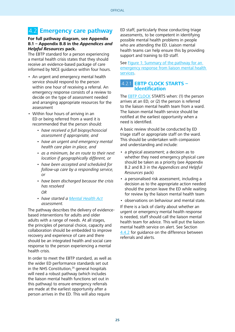## 4.2 **Emergency care pathway**

#### **For full pathway diagram, see Appendix B.1 – Appendix B.8 in the Appendices and Helpful Resources pack.**

The EBTP standard for a person experiencing a mental health crisis states that they should receive an evidence-based package of care informed by NICE guidance within four hours.

- An urgent and emergency mental health service should respond to the person within one hour of receiving a referral. An emergency response consists of a review to decide on the type of assessment needed and arranging appropriate resources for the assessment
- Within four hours of arriving in an ED or being referred from a ward it is recommended that the person should:
	- have received a full biopsychosocial assessment if appropriate, and
	- have an urgent and emergency mental health care plan in place, and
	- as a minimum, be en route to their next location if geographically different, or
	- have been accepted and scheduled for follow-up care by a responding service, or
	- have been discharged because the crisis has resolved
		- OR
	- have started a [Mental Health Act](http://www.legislation.gov.uk/ukpga/1983/20/contents) assessment.

The pathway describes the delivery of evidencebased interventions for adults and older adults with a range of needs. At all stages, the principles of personal choice, capacity and collaboration should be embedded to improve recovery and experience of care and there should be an integrated health and social care response to the person experiencing a mental health crisis.

In order to meet the EBTP standard, as well as the wider ED performance standards set out in the NHS Constitution, $26$  general hospitals will need a robust pathway (which includes the liaison mental health functions set out in this pathway) to ensure emergency referrals are made at the earliest opportunity after a person arrives in the ED. This will also require

ED staff, particularly those conducting triage assessments, to be competent in identifying possible mental health problems in people who are attending the ED. Liaison mental health teams can help ensure this by providing support and training to ED staff.

See [Figure 1: Summary of the pathway for an](#page-25-0)  [emergency response from liaison mental health](#page-25-0) services.

#### 4.2.1 **EBTP CLOCK STARTS – Identification**

The **EBTP CLOCK** STARTS when: (1) the person arrives at an ED, or (2) the person is referred to the liaison mental health team from a ward. The liaison mental health service should be notified at the earliest opportunity when a need is identified.

A basic review should be conducted by ED triage staff or appropriate staff on the ward. This should be undertaken with compassion and understanding and include:

- a physical assessment; a decision as to whether they need emergency physical care should be taken as a priority (see Appendix B.2 and B.3 in the Appendices and Helpful Resources pack)
- a personalised risk assessment, including a decision as to the appropriate action needed should the person leave the ED while waiting for review by the liaison mental health team
- observations on behaviour and mental state.

If there is a lack of clarity about whether an urgent or emergency mental health response is needed, staff should call the liaison mental health team for advice. This will put the liaison mental health service on alert. See Section [4.4.2](#page-31-0) for guidance on the difference between referrals and alerts.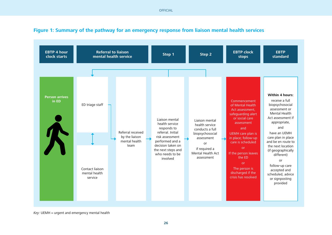**OFFICIAL** 



#### <span id="page-25-0"></span>**Figure 1: Summary of the pathway for an emergency response from liaison mental health services**

 $Key: UEMH = urgent$  and emergency mental health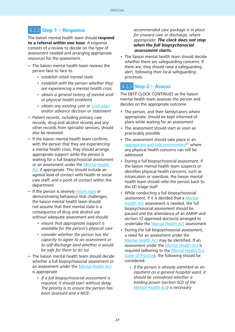## <span id="page-26-0"></span>4.2.2 **Step 1 – Response**

The liaison mental health team should **respond to a referral within one hour**. A response consists of a review to decide on the type of assessment needed and arranging appropriate resources for the assessment.

- The liaison mental health team reviews the person face to face to:
	- establish initial mental state
	- establish with the person whether they are experiencing a mental health crisis
	- obtain a general history of mental and/ or physical health problems
	- obtain any existing care or [crisis plan](#page-43-0) and/or advance decision or statement
- Patient records, including primary care records, drug and alcohol records and any other records from specialist services, should also be reviewed
- If the liaison mental health team confirms with the person that they are experiencing a mental health crisis, they should arrange appropriate support while the person is waiting for a full biopsychosocial assessment or an assessment under the [Mental Health](http://www.legislation.gov.uk/ukpga/1983/20/contents) [Act](http://www.legislation.gov.uk/ukpga/1983/20/contents) if appropriate. This should include an agreed level of contact with health or social care staff, and a point of contact within the department
- If the person is severely [intoxicated](#page-44-0) or demonstrating behaviour that challenges, the liaison mental health team should not assume that their mental state is a consequence of drug and alcohol use without adequate assessment and should:
	- ensure that appropriate support is available for the person's physical care
	- consider whether the person has the capacity to agree to an assessment or to self-discharge (and whether it would be safe for them to do so)
- The liaison mental health team should decide whether a full biopsychosocial assessment or an assessment under the [Mental Health Act](http://www.legislation.gov.uk/ukpga/1983/20/contents) is appropriate
	- If a full biopsychosocial assessment is required, it should start without delay. The priority is to ensure the person has been assessed and a NICE-

recommended care package is in place for onward care or discharge, where appropriate. **The clock does not stop when the full biopsychosocial assessment starts.**

• The liaison mental health team should decide whether there are safeguarding concerns. If there are, they should raise a safeguarding alert, following their local safeguarding processes.

## 4.2.3 **Step 2 – Assess**

The EBTP CLOCK CONTINUES as the liaison mental health team assesses the person and decides on the appropriate outcome.

- The person, and their family/carers where appropriate, should be kept informed of plans while waiting for an assessment
- The assessment should start as soon as practicably possible
- The assessment should take place in an appropriate and safe environment $27$  where any physical health concerns can still be addressed
- During a full biopsychosocial assessment, if the liaison mental health team suspects or identifies physical health concerns, such as intoxication or overdose, the liaison mental health team should refer the person back to the ED triage staff
- While conducting a full biopsychosocial assessment, if it is decided that a [Mental](http://www.legislation.gov.uk/ukpga/1983/20/contents) [Health Act](http://www.legislation.gov.uk/ukpga/1983/20/contents) assessment is needed, the full biopsychosocial assessment should be paused and the attendance of an AMHP and section 12 approved doctor(s) arranged to undertake the [Mental Health Act](http://www.legislation.gov.uk/ukpga/1983/20/contents) assessment
- During the full biopsychosocial assessment, a need for an assessment under the [Mental Health Act](http://www.legislation.gov.uk/ukpga/1983/20/contents) may be identified. If an assessment under the [Mental Health Act](http://www.legislation.gov.uk/ukpga/1983/20/contents) is required (adhering to the [Mental Health Act](https://www.gov.uk/government/uploads/system/uploads/attachment_data/file/435512/MHA_Code_of_Practice.PDF) [Code of Practice\)](https://www.gov.uk/government/uploads/system/uploads/attachment_data/file/435512/MHA_Code_of_Practice.PDF), the following should be considered:
	- if the person is already admitted as an inpatient on a general hospital ward, it should be considered whether a holding power (section 5(2) of the [Mental Health Act](http://www.legislation.gov.uk/ukpga/1983/20/contents)) is necessary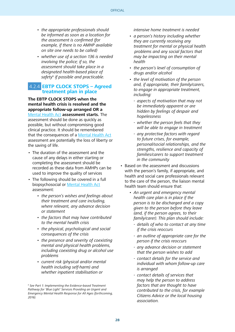- the appropriate professionals should be informed as soon as a location for the assessment is confirmed (for example, if there is no AMHP available on site one needs to be called)
- whether use of a section 136 is needed involving the police; if so, the assessment should take place in a designated health-based place of safety<sup>h</sup> if possible and practicable.

#### 4.2.4 **EBTP CLOCK STOPS – Agreed treatment plan in place**

**The EBTP CLOCK STOPS when the mental health crisis is resolved and the appropriate follow-up arranged OR a**  [Mental Health Act](http://www.legislation.gov.uk/ukpga/1983/20/contents) **assessment starts.** The assessment should be done as quickly as possible, but without compromising good clinical practice. It should be remembered that the consequences of a [Mental Health Act](http://www.legislation.gov.uk/ukpga/1983/20/contents) assessment are potentially the loss of liberty or the saving of life.

- The duration of the assessment and the cause of any delays in either starting or completing the assessment should be recorded as these data from AMHPs can be used to improve the quality of services
- The following should be covered in a full biopsychosocial or [Mental Health Act](http://www.legislation.gov.uk/ukpga/1983/20/contents) assessment:
	- the person's wishes and feelings about their treatment and care including, where relevant, any advance decision or statement
	- the factors that may have contributed to the mental health crisis
	- the physical, psychological and social consequences of the crisis
	- the presence and severity of coexisting mental and physical health problems, including coexisting drug or alcohol use problems
	- current risk (physical and/or mental health including self-harm) and whether inpatient stabilisation or

intensive home treatment is needed

- a person's history including whether they are currently receiving any treatment for mental or physical health problems and any social factors that may be impacting on their mental health
- the person's level of consumption of drugs and/or alcohol
- the level of motivation of the person and, if appropriate, their family/carers, to engage in appropriate treatment, including:
	- aspects of motivation that may not be immediately apparent or are hidden by feelings of despair and hopelessness
	- whether the person feels that they will be able to engage in treatment
	- any protective factors with regard to future crises, for example, personal/social relationships, and the strengths, resilience and capacity of families/carers to support treatment in the community
- Based on the assessment and discussions with the person's family, if appropriate, and health and social care professionals relevant to the care of the person, the liaison mental health team should ensure that:
	- An urgent and emergency mental health care plan is in place if the person is to be discharged and a copy given to the person before they leave (and, if the person agrees, to their family/carer). This plan should include:
		- details of who to contact at any time if the crisis reoccurs
		- an outline of appropriate care for the person if the crisis reoccurs
		- any advance decision or statement that the person wishes to add
		- contact details for the service and individual with whom follow-up care is arranged
		- contact details of services that may help the person to address factors that are thought to have contributed to the crisis, for example Citizens Advice or the local housing association.

h See Part 1: Implementing the Evidence-based Treatment Pathway for 'Blue Light' Services Providing an Urgent and Emergency Mental Health Response for All Ages (forthcoming, 2016).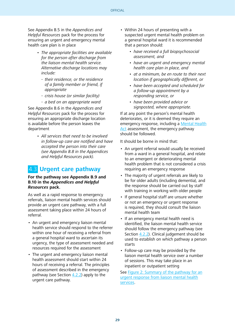<span id="page-28-0"></span>See Appendix B.5 in the Appendices and Helpful Resources pack for the process for ensuring an urgent and emergency mental health care plan is in place

- The appropriate facilities are available for the person after discharge from the liaison mental health service. Alternative discharge locations may include:
	- their residence, or the residence of a family member or friend, if appropriate
	- crisis house (or similar facility)
	- a bed on an appropriate ward

See Appendix B.6 in the Appendices and Helpful Resources pack for the process for ensuring an appropriate discharge location is available before the person leaves the department

> • All services that need to be involved in follow-up care are notified and have accepted the person into their care (see Appendix B.8 in the Appendices and Helpful Resources pack).

## 4.3 **Urgent care pathway**

#### **For the pathway see Appendix B.9 and B.10 in the Appendices and Helpful Resources pack.**

As well as a rapid response to emergency referrals, liaison mental health services should provide an urgent care pathway, with a full assessment taking place within 24 hours of referral.

- An urgent and emergency liaison mental health service should respond to the referrer within one hour of receiving a referral from a general hospital ward to ascertain its urgency, the type of assessment needed and resources required for the assessment
- The urgent and emergency liaison mental health assessment should start within 24 hours of receiving a referral. The principles of assessment described in the emergency pathway (see Section  $4.2.2$ ) apply to the urgent care pathway.
- Within 24 hours of presenting with a suspected urgent mental health problem on a general hospital ward it is recommended that a person should:
	- have received a full biopsychosocial assessment, and
	- have an urgent and emergency mental health care plan in place, and
	- at a minimum, be en route to their next location if geographically different, or
	- have been accepted and scheduled for a follow-up appointment by a responding service, or
	- have been provided advice or signposted, where appropriate.

If at any point the person's mental health deteriorates, or it is deemed they require an emergency response, including a [Mental Health](http://www.legislation.gov.uk/ukpga/1983/20/contents) [Act](http://www.legislation.gov.uk/ukpga/1983/20/contents) assessment, the emergency pathway should be followed.

It should be borne in mind that:

- An urgent referral would usually be received from a ward in a general hospital, and relate to an emergent or deteriorating mental health problem that is not considered a crisis requiring an emergency response
- The majority of urgent referrals are likely to be for older adults (including dementia), and the response should be carried out by staff with training in working with older people
- If general hospital staff are unsure whether or not an emergency or urgent response is required, they should consult the liaison mental health team
- If an emergency mental health need is identified, the liaison mental health service should follow the emergency pathway (see Section [4.2.2](#page-26-0)). Clinical judgement should be used to establish on which pathway a person starts
- Follow-up care may be provided by the liaison mental health service over a number of sessions. This may take place in an inpatient or outpatient setting

See [Figure 2: Summary of the pathway for an](#page-30-0) [urgent response from liaison mental health](#page-30-0) [services](#page-30-0).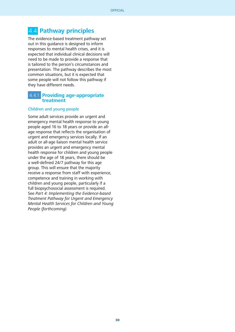## 4.4 **Pathway principles**

The evidence-based treatment pathway set out in this guidance is designed to inform responses to mental health crises, and it is expected that individual clinical decisions will need to be made to provide a response that is tailored to the person's circumstances and presentation. The pathway describes the most common situations, but it is expected that some people will not follow this pathway if they have different needs.

#### 4.4.1 **Providing age-appropriate treatment**

#### Children and young people

Some adult services provide an urgent and emergency mental health response to young people aged 16 to 18 years or provide an allage response that reflects the organisation of urgent and emergency services locally. If an adult or all-age liaison mental health service provides an urgent and emergency mental health response for children and young people under the age of 18 years, there should be a well-defined 24/7 pathway for this age group. This will ensure that the majority receive a response from staff with experience, competence and training in working with children and young people, particularly if a full biopsychosocial assessment is required. See Part 4: Implementing the Evidence-based Treatment Pathway for Urgent and Emergency Mental Health Services for Children and Young People (forthcoming).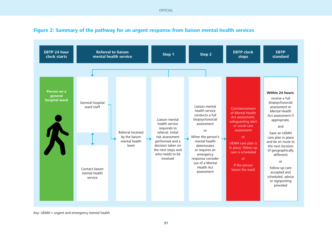**OFFICIAL** 



#### <span id="page-30-0"></span>**Figure 2: Summary of the pathway for an urgent response from liaison mental health services**

 $Key: UEMH = urgent$  and emergency mental health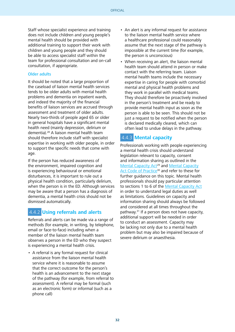<span id="page-31-0"></span>Staff whose specialist experience and training does not include children and young people's mental health should be provided with additional training to support their work with children and young people and they should be able to access specialist staff within the team for professional consultation and on-call consultation, if appropriate.

#### Older adults

It should be noted that a large proportion of the caseload of liaison mental health services tends to be older adults with mental health problems and dementia on inpatient wards, and indeed the majority of the financial benefits of liaison services are accrued through assessment and treatment of older adults. Nearly two-thirds of people aged 65 or older in general hospitals have a significant mental health need (mainly depression, delirium or dementia).28 A liaison mental health team should therefore include staff with specialist expertise in working with older people, in order to support the specific needs that come with age.

If the person has reduced awareness of the environment, impaired cognition and is experiencing behavioural or emotional disturbances, it is important to rule out a physical health condition, particularly delirium, when the person is in the ED. Although services may be aware that a person has a diagnosis of dementia, a mental health crisis should not be dismissed automatically.

#### 4.4.2 **Using referrals and alerts**

Referrals and alerts can be made via a range of methods (for example, in writing, by telephone, email or face-to-face) including when a member of the liaison mental health team observes a person in the ED who they suspect is experiencing a mental health crisis.

• A referral is any formal request for clinical assistance from the liaison mental health service where it is reasonable to assume that the correct outcome for the person's health is an advancement to the next stage of the pathway (for example, from referral to assessment). A referral may be formal (such as an electronic form) or informal (such as a phone call)

- An alert is any informal request for assistance to the liaison mental health service where a healthcare professional could reasonably assume that the next stage of the pathway is impossible at the current time (for example, the person is unconscious)
- When receiving an alert, the liaison mental health team should attend in person or make contact with the referring team. Liaison mental health teams include the necessary expertise in caring for people with comorbid mental and physical health problems and they work in parallel with medical teams. They should therefore be proactively involved in the person's treatment and be ready to provide mental health input as soon as the person is able to be seen. This should not be just a request to be notified when the person is declared medically cleared, which can often lead to undue delays in the pathway.

## 4.4.3 **Mental capacity**

Professionals working with people experiencing a mental health crisis should understand legislation relevant to capacity, consent and information sharing as outlined in the [Mental Capacity Act](http://www.legislation.gov.uk/ukpga/2005/9/contents)<sup>29</sup> and [Mental Capacity](https://www.gov.uk/government/publications/mental-capacity-act-code-of-practice) [Act Code of Practice](https://www.gov.uk/government/publications/mental-capacity-act-code-of-practice)<sup>30</sup> and refer to these for further guidance on this topic. Mental health professionals should pay particular attention to sections 1 to 6 of the [Mental Capacity Act](http://www.legislation.gov.uk/ukpga/2005/9/contents) in order to understand legal duties as well as limitations. Guidelines on capacity and information sharing should always be followed and considered at all times throughout the pathway.31 If a person does not have capacity, additional support will be needed in order to conduct an assessment. Capacity may be lacking not only due to a mental health problem but may also be impaired because of severe delirium or anaesthesia.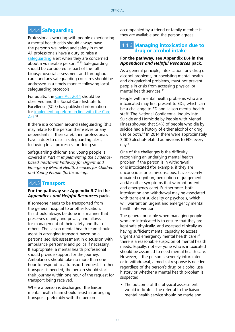## 4.4.4 **Safeguarding**

Professionals working with people experiencing a mental health crisis should always have the person's wellbeing and safety in mind. All professionals have a duty to raise a safequarding alert when they are concerned about a vulnerable person.<sup>32 33</sup> Safeguarding should be considered as part of the full biopsychosocial assessment and throughout care, and any safeguarding concerns should be addressed in a timely manner following local safeguarding protocols.

For adults, the [Care Act 2014](http://www.legislation.gov.uk/ukpga/2014/23/contents/enacted) should be observed and the Social Care Institute for Excellence (SCIE) has published information for [implementing reform in line with the Care](http://www.local.gov.uk/care-support-reform) [Act](http://www.local.gov.uk/care-support-reform).<sup>34</sup>

If there is a concern around safeguarding (this may relate to the person themselves or any dependants in their care), then professionals have a duty to raise a safeguarding alert, following local processes for doing so.

Safeguarding children and young people is covered in Part 4: Implementing the Evidencebased Treatment Pathway for Urgent and Emergency Mental Health Services for Children and Young People (forthcoming).

## 4.4.5 **Transport**

#### **For the pathway see Appendix B.7 in the Appendices and Helpful Resources pack.**

If someone needs to be transported from the general hospital to another location, this should always be done in a manner that preserves dignity and privacy and allows for management of their safety and that of others. The liaison mental health team should assist in arranging transport based on a personalised risk assessment in discussion with ambulance personnel and police if necessary. If appropriate, a mental health professional should provide support for the journey. Ambulances should take no more than one hour to respond to a transport request. If other transport is needed, the person should start their journey within one hour of the request for transport being received.

Where a person is discharged, the liaison mental health team should assist in arranging transport, preferably with the person

accompanied by a friend or family member if they are available and the person agrees.

#### 4.4.6 **Managing intoxication due to drug or alcohol intake**

#### **For the pathway, see Appendix B.4 in the Appendices and Helpful Resources pack.**

As a general principle, intoxication, any drug or alcohol problems, or coexisting mental health and drug/alcohol problems, must not prevent people in crisis from accessing physical or mental health services.<sup>35</sup>

People with mental health problems who are intoxicated may first present to EDs, which can be a challenge to ED and liaison mental health staff. The National Confidential Inquiry into Suicide and Homicide by People with Mental Illness showed that 54% of people who die by suicide had a history of either alcohol or drug use or both.<sup>36</sup> In 2014 there were approximately 3,000 alcohol-related admissions to EDs every day.4

One of the challenges is the difficulty recognising an underlying mental health problem if the person is in withdrawal or is intoxicated (for example, if they are unconscious or semi-conscious, have severely impaired cognition, perception or judgement and/or other symptoms that warrant urgent and emergency care). Furthermore, both intoxication and withdrawal may be associated with transient suicidality or psychosis, which will warrant an urgent and emergency mental health intervention.

The general principle when managing people who are intoxicated is to ensure that they are kept safe physically, and assessed clinically as having sufficient mental capacity to access urgent and emergency mental health care if there is a reasonable suspicion of mental health needs. Equally, not everyone who is intoxicated should be assumed to need mental health care. However, if the person is severely intoxicated or in withdrawal, a medical response is needed regardless of the person's drug or alcohol use history or whether a mental health problem is suspected.

• The outcome of the physical assessment would indicate if the referral to the liaison mental health service should be made and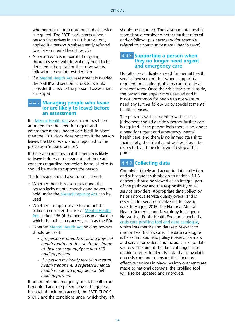whether referral to a drug or alcohol service is required. The EBTP clock starts when a person first arrives in an ED, but will only applied if a person is subsequently referred to a liaison mental health service

- A person who is intoxicated or going through severe withdrawal may need to be detained in hospital for their own safety, following a best interest decision
- If a [Mental Health Act](http://www.legislation.gov.uk/ukpga/1983/20/contents) assessment is needed, the AMHP and section 12 doctor should consider the risk to the person if assessment is delayed.

# 4.4.7 **Managing people who leave (or are likely to leave) before an assessment**

If a [Mental Health Act](http://www.legislation.gov.uk/ukpga/1983/20/contents) assessment has been arranged and the need for urgent and emergency mental health care is still in place, then the EBTP clock does not stop if the person leaves the ED or ward and is reported to the police as a 'missing person'.

If there are concerns that the person is likely to leave before an assessment and there are concerns regarding immediate harm, all efforts should be made to support the person.

The following should also be considered:

- Whether there is reason to suspect the person lacks mental capacity and powers to hold under the [Mental Capacity Act](http://www.legislation.gov.uk/ukpga/2005/9/contents) can be used
- Whether it is appropriate to contact the police to consider the use of [Mental Health](http://www.legislation.gov.uk/ukpga/1983/20/contents) [Act](http://www.legislation.gov.uk/ukpga/1983/20/contents) section 136 (if the person is in a place to which the public has access, such as the ED)
- Whether [Mental Health Act](http://www.legislation.gov.uk/ukpga/1983/20/contents) holding powers should be used:
	- If a person is already receiving physical health treatment, the doctor in charge of their care can apply section 5(2) holding powers
	- If a person is already receiving mental health treatment, a registered mental health nurse can apply section 5(4) holding powers.

If no urgent and emergency mental health care is required and the person leaves the general hospital of their own accord, the EBTP CLOCK STOPS and the conditions under which they left should be recorded. The liaison mental health team should consider whether further referral and/or follow up is necessary (for example, referral to a community mental health team).

#### 4.4.8 **Supporting a person when they no longer need urgent and emergency care**

Not all crises indicate a need for mental health service involvement, but where support is required, presenting problems can subside at different rates. Once the crisis starts to subside, the person can appear more settled and it is not uncommon for people to not want or need any further follow-up by specialist mental health services.

The person's wishes together with clinical judgement should decide whether further care is required. If the person feels there is no longer a need for urgent and emergency mental health care, and there is no immediate risk to their safety, their rights and wishes should be respected, and the clock would stop at this point.

## 4.4.9 **Collecting data**

Complete, timely and accurate data collection and subsequent submission to national NHS datasets should be viewed as an integral part of the pathway and the responsibility of all service providers. Appropriate data collection helps improve service quality overall and is essential for services involved in follow-up care. In August 2016, the National Mental Health Dementia and Neurology Intelligence Network at Public Health England launched a [crisis care profiling tool and data catalogue](http://www.yhpho.org.uk/resource/view.aspx?RID=232017), which lists metrics and datasets relevant to mental health crisis care. The data catalogue is for commissioners, policy makers, planners and service providers and includes links to data sources. The aim of the data catalogue is to enable services to identify data that is available on crisis care and to ensure that there are effective services in place. As improvements are made to national datasets, the profiling tool will also be updated and improved.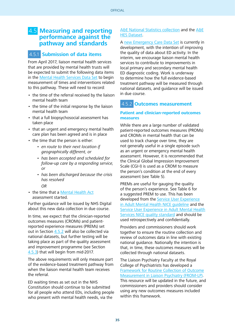## 4.5 **Measuring and reporting performance against the pathway and standards**

## 4.5.1 **Submission of data items**

From April 2017, liaison mental health services that are provided by mental health trusts will be expected to submit the following data items in the [Mental Health Services Data Set](http://content.digital.nhs.uk/mhsds) to begin measurement of times and interventions related to this pathway. These will need to record:

- the time of the referral received by the liaison mental health team
- the time of the initial response by the liaison mental health team
- that a full biopsychosocial assessment has taken place
- that an urgent and emergency mental health care plan has been agreed and is in place
- the time that the person is either:
	- en route to their next location if geographically different, or
	- has been accepted and scheduled for follow-up care by a responding service, or
	- has been discharged because the crisis has resolved
		- OR
- the time that a [Mental Health Act](http://www.legislation.gov.uk/ukpga/1983/20/contents) assessment started.

Further guidance will be issued by NHS Digital about this new data collection in due course.

In time, we expect that the clinician-reported outcomes measures (CROMs) and patientreported experience measures (PREMs) set out in Section 4.5.2 will also be collected via national datasets, but further testing will be taking place as part of the quality assessment and improvement programme (see Section [4.5.3](#page-36-0)) that will begin from mid-2017.

The above requirements will only measure part of the evidence-based treatment pathway from when the liaison mental health team receives the referral.

ED waiting times as set out in the NHS Constitution should continue to be submitted for all people who attend EDs, including people who present with mental health needs, via the

#### [A&E National Statistics collection](https://www.england.nhs.uk/statistics/statistical-work-areas/ae-waiting-times-and-activity/) and the [A&E](http://content.digital.nhs.uk/hes) [HES Dataset](http://content.digital.nhs.uk/hes).

A [new Emergency Care Data Set](https://www.england.nhs.uk/ourwork/tsd/ec-data-set/) is currently in development, with the intention of improving the quality of data about ED activity. In the interim, we encourage liaison mental health services to contribute to improvements in local primary and secondary mental health ED diagnostic coding. Work is underway to determine how the full evidence-based treatment pathway will be measured through national datasets, and guidance will be issued in due course.

## 4.5.2 **Outcomes measurement**

#### **Patient and clinician-reported outcomes measures**

While there are a large number of validated patient-reported outcomes measures (PROMs) and CROMs in mental health that can be used to track change over time, they are not generally useful in a single episode such as an urgent or emergency mental health assessment. However, it is recommended that the Clinical Global Impression Improvement Scale (CGI-I) is used as a CROM to measure the person's condition at the end of every assessment (see Table 5).

PREMs are useful for gauging the quality of the person's experience. See Table 6 for a suggested PREM to use. This has been developed from the [Service User Experience](https://www.nice.org.uk/guidance/cg136) [in Adult Mental Health NICE guideline](https://www.nice.org.uk/guidance/cg136) and the [Service User Experience in Adult Mental Health](https://www.nice.org.uk/guidance/qs14) [Services NICE quality standard](https://www.nice.org.uk/guidance/qs14) and should be used retrospectively and confidentially.

Providers and commissioners should work together to ensure the routine collection and review of outcomes data in line with existing national guidance. Nationally the intention is that, in time, these outcomes measures will be collected through national datasets.

The Liaison Psychiatry Faculty at the Royal College of Psychiatrists has developed a [Framework for Routine Collection of Outcome](http://www.rcpsych.ac.uk/pdf/FRLP02.pdf) [Measurement in Liaison Psychiatry \(FROM-LP\)](http://www.rcpsych.ac.uk/pdf/FRLP02.pdf). This resource will be updated in the future, and commissioners and providers should consider using any new outcomes measures included within this framework.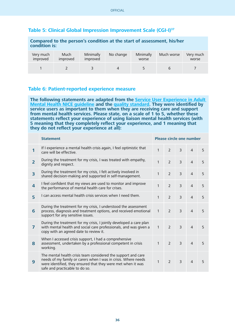#### **Table 5: Clinical Global Impression Improvement Scale (CGI-I)37**

| Compared to the person's condition at the start of assessment, his/her<br>condition is: |                  |                       |           |                    |            |                    |
|-----------------------------------------------------------------------------------------|------------------|-----------------------|-----------|--------------------|------------|--------------------|
| Very much<br>improved                                                                   | Much<br>improved | Minimally<br>improved | No change | Minimally<br>worse | Much worse | Very much<br>worse |
|                                                                                         |                  |                       |           |                    |            |                    |

#### **Table 6: Patient-reported experience measure**

The following statements are adapted from the **Service User Experience in Adult [Mental Health NICE guideline](https://www.nice.org.uk/guidance/cg136) and the [quality standard](https://www.nice.org.uk/guidance/qs14). They were identified by service users as important to them when they are receiving care and support from mental health services. Please state, on a scale of 1 to 5, whether these statements reflect your experience of using liaison mental health services (with 5 meaning that they completely reflect your experience, and 1 meaning that they do not reflect your experience at all):**

|                         | <b>Statement</b>                                                                                                                                                                                                                  | <b>Please circle one number</b> |                          |                |                |   |
|-------------------------|-----------------------------------------------------------------------------------------------------------------------------------------------------------------------------------------------------------------------------------|---------------------------------|--------------------------|----------------|----------------|---|
| 1                       | If I experience a mental health crisis again, I feel optimistic that<br>care will be effective.                                                                                                                                   | $\mathbf{1}$                    | $\overline{2}$           | $\overline{3}$ | $\overline{4}$ | 5 |
| $\overline{2}$          | During the treatment for my crisis, I was treated with empathy,<br>dignity and respect.                                                                                                                                           | $\mathbf{1}$                    | $\overline{2}$           | $\overline{3}$ | $\overline{4}$ | 5 |
| 3                       | During the treatment for my crisis, I felt actively involved in<br>shared decision-making and supported in self-management.                                                                                                       | 1                               | $\overline{2}$           | $\overline{3}$ | $\overline{4}$ | 5 |
| $\overline{\mathbf{4}}$ | I feel confident that my views are used to monitor and improve<br>the performance of mental health care for crises.                                                                                                               | $\mathbf{1}$                    | $\overline{2}$           | $\overline{3}$ | $\overline{4}$ | 5 |
| 5                       | I can access mental health crisis services when I need them.                                                                                                                                                                      | 1                               | $\overline{2}$           | $\overline{3}$ | $\overline{4}$ | 5 |
| 6                       | During the treatment for my crisis, I understood the assessment<br>process, diagnosis and treatment options, and received emotional<br>support for any sensitive issues.                                                          | $\mathbf{1}$                    | $\overline{\phantom{0}}$ | $\overline{3}$ | $\overline{4}$ | 5 |
| $\overline{7}$          | During the treatment for my crisis, I jointly developed a care plan<br>with mental health and social care professionals, and was given a<br>copy with an agreed date to review it.                                                | $\mathbf{1}$                    | $\overline{\phantom{0}}$ | $\overline{3}$ | $\overline{4}$ | 5 |
| 8                       | When I accessed crisis support, I had a comprehensive<br>assessment, undertaken by a professional competent in crisis<br>working.                                                                                                 | 1                               | $\mathcal{P}$            | $\overline{3}$ | $\overline{4}$ | 5 |
| 9                       | The mental health crisis team considered the support and care<br>needs of my family or carers when I was in crisis. Where needs<br>were identified, they ensured that they were met when it was<br>safe and practicable to do so. | $\mathbf{1}$                    | $\overline{\phantom{0}}$ | $\overline{3}$ | $\overline{4}$ | 5 |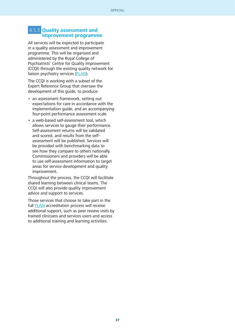#### <span id="page-36-0"></span> 4.5.3 **Quality assessment and improvement programme**

All services will be expected to participate in a quality assessment and improvement programme. This will be organised and administered by the Royal College of Psychiatrists' Centre for Quality Improvement (CCQI) through the existing quality network for liaison psychiatry services [\(PLAN\)](http://www.rcpsych.ac.uk/pdf/Standards 4th edition 2014.pdf).

The CCQI is working with a subset of the Expert Reference Group that oversaw the development of this guide, to produce:

- an assessment framework, setting out expectations for care in accordance with the implementation guide, and an accompanying four-point performance assessment scale
- a web-based self-assessment tool, which allows services to gauge their performance. Self-assessment returns will be validated and scored, and results from the selfassessment will be published. Services will be provided with benchmarking data to see how they compare to others nationally. Commissioners and providers will be able to use self-assessment information to target areas for service development and quality improvement.

Throughout the process, the CCQI will facilitate shared learning between clinical teams. The CCQI will also provide quality improvement advice and support to services.

Those services that choose to take part in the full [PLAN](http://www.rcpsych.ac.uk/pdf/Standards 4th edition 2014.pdf) accreditation process will receive additional support, such as peer review visits by trained clinicians and services users and access to additional training and learning activities.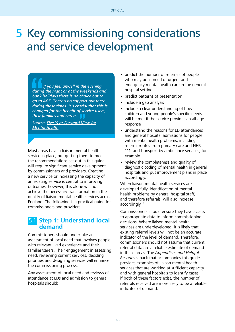# 5 Key commissioning considerations and service development

 If you feel unwell in the evening, during the night or at the weekends and bank holidays there is no choice but to go to A&E. There's no support out there during these times. It's crucial that this is changed for the benefit of service users, their families and carers.

Source: [Five Year Forward View for](https://www.england.nhs.uk/wp-content/uploads/2016/02/Mental-Health-Taskforce-FYFV-final.pdf) [Mental Health](https://www.england.nhs.uk/wp-content/uploads/2016/02/Mental-Health-Taskforce-FYFV-final.pdf)

Most areas have a liaison mental health service in place, but getting them to meet the recommendations set out in this guide will require significant service development by commissioners and providers. Creating a new service or increasing the capacity of an existing service is central to improving outcomes; however, this alone will not achieve the necessary transformation in the quality of liaison mental health services across England. The following is a practical guide for commissioners and providers.

## 5.1 **Step 1: Understand local demand**

Commissioners should undertake an assessment of local need that involves people with relevant lived experience and their families/carers. Their engagement in assessing need, reviewing current services, deciding priorities and designing services will enhance the commissioning process.

Any assessment of local need and reviews of attendance at EDs and admission to general hospitals should:

- predict the number of referrals of people who may be in need of urgent and emergency mental health care in the general hospital setting
- predict patterns of presentation
- include a gap analysis
- include a clear understanding of how children and young people's specific needs will be met if the service provides an all-age response
- understand the reasons for ED attendances and general hospital admissions for people with mental health problems, including referral routes from primary care and NHS 111, and transport by ambulance services, for example
- review the completeness and quality of diagnostic coding of mental health in general hospitals and put improvement plans in place accordingly.

When liaison mental health services are developed fully, identification of mental health problems by general hospital staff, and therefore referrals, will also increase accordingly.10

Commissioners should ensure they have access to appropriate data to inform commissioning decisions. Where liaison mental health services are underdeveloped, it is likely that existing referral levels will not be an accurate indicator of the level of demand. Therefore, commissioners should not assume that current referral data are a reliable estimate of demand in these areas. The Appendices and Helpful Resources pack that accompanies this guide provides examples of liaison mental health services that are working at sufficient capacity and with general hospitals to identify cases; if both of these factors exist, the number of referrals received are more likely to be a reliable indicator of demand.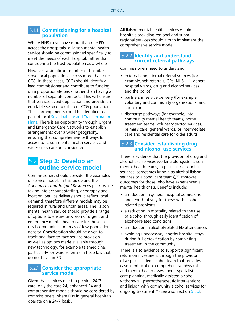#### 5.1.1 **Commissioning for a hospital population**

Where NHS trusts have more than one ED across their hospitals, a liaison mental health service should be commissioned specifically to meet the needs of each hospital, rather than considering the trust population as a whole.

However, a significant number of hospitals serve local populations across more than one CCG. In these cases, CCGs should identify a lead commissioner and contribute to funding on a proportionate basis, rather than having a number of separate contracts. This will ensure that services avoid duplication and provide an equitable service to different CCG populations. These arrangements could be identified as part of local [Sustainability and Transformation](https://www.england.nhs.uk/ourwork/futurenhs/deliver-forward-view/stp/) [Plans](https://www.england.nhs.uk/ourwork/futurenhs/deliver-forward-view/stp/). There is an opportunity through Urgent and Emergency Care Networks to establish arrangements over a wider geography, ensuring that comprehensive pathways for access to liaison mental health services and wider crisis care are considered.

## 5.2 **Step 2: Develop an outline service model**

Commissioners should consider the examples of service models in this guide and the Appendices and Helpful Resources pack, while taking into account staffing, geography and location. Service delivery should reflect local demand, therefore different models may be required in rural and urban areas. The liaison mental health service should provide a range of options to ensure provision of urgent and emergency mental health care for those in rural communities or areas of low population density. Consideration should be given to traditional face-to-face service provision as well as options made available through new technology, for example telemedicine, particularly for ward referrals in hospitals that do not have an ED.

## **Consider the appropriate service model**

Given that services need to provide 24/7 care, only the core 24, enhanced 24 and comprehensive models should be considered by commissioners where EDs in general hospitals operate on a 24/7 basis.

All liaison mental health services within hospitals providing regional and supraregional services should aim to implement the comprehensive service model.

#### 5.2.2 **Identify and understand current referral pathways**

Commissioners need to understand:

- external and internal referral sources (for example, self-referrals, GPs, NHS 111, general hospital wards, drug and alcohol services and the police)
- partners in service delivery (for example, voluntary and community organisations, and social care)
- discharge pathways (for example, into community mental health teams, home treatment teams, voluntary sector services, primary care, general wards, or intermediate care and residential care for older adults).

#### 5.2.3 **Consider establishing drug and alcohol use services**

There is evidence that the provision of drug and alcohol use services working alongside liaison mental health teams, in particular alcohol use services (sometimes known as alcohol liaison services or alcohol care teams),<sup>38</sup> improves outcomes for those who have experienced a mental health crisis. Benefits include:

- a reduction in general hospital admissions and length of stay for those with alcoholrelated problems
- a reduction in mortality related to the use of alcohol through early identification of alcohol-related conditions
- a reduction in alcohol-related ED attendances
- avoiding unnecessary lengthy hospital stays during full detoxification by completing treatment in the community.

There is also evidence to support a significant return on investment through the provision of a specialist-led alcohol team that provides case identification, comprehensive physical and mental health assessment, specialist care planning, medically-assisted alcohol withdrawal, psychotherapeutic interventions and liaison with community alcohol services for ongoing treatment.39 (See also Section [5.5.2](#page-39-0).)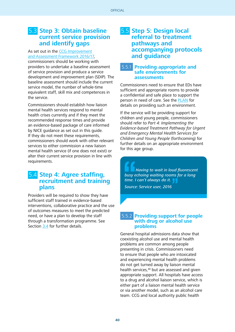## <span id="page-39-0"></span>5.3 **Step 3: Obtain baseline current service provision and identify gaps**

#### As set out in the [CCG Improvement](https://www.england.nhs.uk/commissioning/wp-content/uploads/sites/12/2016/03/ccg-iaf-mar16.pdf) [and Assessment Framework 2016/17](https://www.england.nhs.uk/commissioning/wp-content/uploads/sites/12/2016/03/ccg-iaf-mar16.pdf),

commissioners should be working with providers to undertake a baseline assessment of service provision and produce a service development and improvement plan (SDIP). The baseline assessment should include the current service model, the number of whole-time equivalent staff, skill mix and competences in the service.

Commissioners should establish how liaison mental health services respond to mental health crises currently and if they meet the recommended response times and provide an evidence-based package of care informed by NICE guidance as set out in this guide. If they do not meet these requirements, commissioners should work with other relevant services to either commission a new liaison mental health service (if one does not exist) or alter their current service provision in line with requirements.

## 5.4 **Step 4: Agree staffing, recruitment and training plans**

Providers will be required to show they have sufficient staff trained in evidence-based interventions, collaborative practice and the use of outcomes measures to meet the predicted need, or have a plan to develop the staff through a transformation programme. See Section [3.4](#page-17-0) for further details.

## 5.5 **Step 5: Design local referral to treatment pathways and accompanying protocols and guidance**

#### 5.5.1 **Providing appropriate and safe environments for assessments**

Commissioners need to ensure that EDs have sufficient and appropriate rooms to provide a confidential and safe place to support the person in need of care. See the **[PLAN](http://www.rcpsych.ac.uk/pdf/Standards 4th edition 2014.pdf)** for details on providing such an environment.

If the service will be providing support for children and young people, commissioners should refer to Part 4: Implementing the Evidence-based Treatment Pathway for Urgent and Emergency Mental Health Services for Children and Young People (forthcoming) for further details on an appropriate environment for this age group.

 Having to wait in loud fluorescent busy echoing waiting rooms for a long time. I can't always do it.

Source: Service user, 2016

#### 5.5.2 **Providing support for people with drug or alcohol use problems**

General hospital admissions data show that coexisting alcohol use and mental health problems are common among people presenting in crisis. Commissioners need to ensure that people who are intoxicated and experiencing mental health problems do not get turned away by liaison mental health services,<sup>40</sup> but are assessed and given appropriate support. All hospitals have access to a drug and alcohol liaison service, which is either part of a liaison mental health service or via another model, such as an alcohol care team. CCG and local authority public health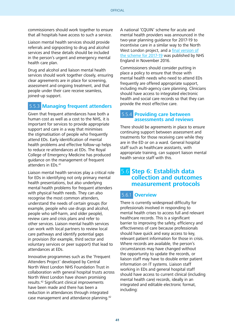commissioners should work together to ensure that all hospitals have access to such a service.

Liaison mental health services should provide referrals and signposting to drug and alcohol services and these details should be included in the person's urgent and emergency mental health care plan.

Drug and alcohol and liaison mental health services should work together closely, ensuring clear agreements are in place for screening, assessment and ongoing treatment, and that people under their care receive seamless, joined-up support.

## 5.5.3 **Managing frequent attenders**

Given that frequent attendances have both a human cost as well as a cost to the NHS, it is important for services to provide appropriate support and care in a way that minimises the stigmatisation of people who frequently attend EDs. Early identification of mental health problems and effective follow-up helps to reduce re-attendances at EDs. The Royal College of Emergency Medicine has produced guidance on the management of frequent attenders in EDs.41

Liaison mental health services play a critical role for EDs in identifying not only primary mental health presentations, but also underlying mental health problems for frequent attenders with physical health needs. They can also recognise the most common attenders, understand the needs of certain groups (for example, people who use drugs and alcohol, people who self-harm, and older people), review care and crisis plans and refer to other services. Liaison mental health services can work with local partners to review local care pathways and identify potential gaps in provision (for example, third sector and voluntary services or peer support) that lead to attendances at EDs.

Innovative programmes such as the 'Frequent Attenders Project' developed by Central North West London NHS Foundation Trust in collaboration with general hospital trusts across North West London have shown promising results.42 Significant clinical improvements have been made and there has been a reduction in attendances through integrated case management and attendance planning.<sup>42</sup>

A national 'CQUIN' scheme for acute and mental health providers was announced in the two-year planning guidance for 2017-19 to incentivise care in a similar way to the North West London project, and a [final version of](https://www.england.nhs.uk/nhs-standard-contract/cquin/cquin-17-19/) [the scheme for 2017-19](https://www.england.nhs.uk/nhs-standard-contract/cquin/cquin-17-19/) was published by NHS England in November 2016.

Commissioners should consider putting in place a policy to ensure that those with mental health needs who need to attend EDs frequently are offered appropriate support, including multi-agency care planning. Clinicians should have access to integrated electronic health and social care records so that they can provide the most effective care.

#### 5.5.4 **Providing care between assessments and reviews**

There should be agreements in place to ensure continuing support between assessment and treatments for those receiving care while they are in the ED or on a ward. General hospital staff such as healthcare assistants, with appropriate training, can support liaison mental health service staff with this.

## 5.6 **Step 6: Establish data collection and outcomes measurement protocols**

## 5.6.1 **Overview**

There is currently widespread difficulty for professionals involved in responding to mental health crises to access full and relevant healthcare records. This is a significant barrier to improving the safety, efficiency and effectiveness of care because professionals should have quick and easy access to key, relevant patient information for those in crisis. Where records are available, the person's circumstances may have changed without the opportunity to update the records, or liaison staff may have to double enter patient information on IT systems. Liaison staff working in EDs and general hospital staff should have access to current clinical (including mental health care) records, ideally in an integrated and editable electronic format, including: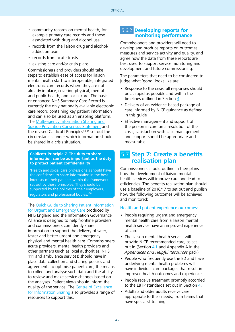- <span id="page-41-0"></span>• community records on mental health, for example primary care records and those associated with drug and alcohol use
- records from the liaison drug and alcohol/ addiction team
- records from acute trusts
- existing care and/or crisis plans.

Commissioners and providers should take steps to establish ease of access for liaison mental health staff to interoperable, integrated electronic care records where they are not already in place, covering physical, mental and public health, and social care. The basic or enhanced NHS Summary Care Record is currently the only nationally available electronic care record containing key patient information and can also be used as an enabling platform. The [Multi-agency Information Sharing and](https://www.gov.uk/government/uploads/system/uploads/attachment_data/file/271792/Consensus_statement_on_information_sharing.pdf) [Suicide Prevention Consensus Statement](https://www.gov.uk/government/uploads/system/uploads/attachment_data/file/271792/Consensus_statement_on_information_sharing.pdf) and the revised Caldicott Principles<sup>43 44</sup> set out the circumstances under which information should be shared in a crisis situation.

#### **Caldicott Principle 7. The duty to share information can be as important as the duty to protect patient confidentiality**

'Health and social care professionals should have the confidence to share information in the best interests of their patients within the framework set out by these principles. They should be supported by the policies of their employers, regulators and professional bodies.'36

#### The [Quick Guide to Sharing Patient Information](http://www.nhs.uk/NHSEngland/keogh-review/Documents/160203-qucik-guide-Sharing-Patient-Information-for-Urgent-Care.pdf)

[for Urgent and Emergency Care](http://www.nhs.uk/NHSEngland/keogh-review/Documents/160203-qucik-guide-Sharing-Patient-Information-for-Urgent-Care.pdf) produced by NHS England and the Information Governance Alliance is designed to help frontline providers and commissioners confidently share information to support the delivery of safer, faster and better urgent and emergency physical and mental health care. Commissioners, acute providers, mental health providers and other partners (such as local authorities, NHS 111 and ambulance services) should have in place data collection and sharing policies and agreements to optimise patient care, the means to collect and analyse such data and the ability to review and make service changes based on the analyses. Patient views should inform the quality of the service. The [Centre of Excellence](http://informationsharing.org.uk/our-work/resources/) [for Information Sharing](http://informationsharing.org.uk/our-work/resources/) also provides a range of resources to support this.

#### 5.6.2 **Developing reports for monitoring performance**

Commissioners and providers will need to develop and produce reports on outcomes measures and service activity and quality, and agree how the data from these reports are best used to support service monitoring and development and future commissioning.

The parameters that need to be considered to judge what 'good' looks like are:

- Response to the crisis: all responses should be as rapid as possible and within the timelines outlined in Section [4](#page-22-0)
- Delivery of an evidence-based package of care informed by NICE guidance as defined in this guide
- Effective management and support of the person in care until resolution of the crisis; satisfaction with case management and support should be appropriate and measurable.

## 5.7 **Step 7: Create a benefits realisation plan**

Commissioners should outline in their plans how the development of liaison mental health services will improve care and lead to efficiencies. The benefits realisation plan should use a baseline of 2016/17 to set out and publish how the following outcomes will be achieved and monitored:

#### Health and patient experience outcomes:

- People requiring urgent and emergency mental health care from a liaison mental health service have an improved experience of care
- The liaison mental health service will provide NICE-recommended care, as set out in (Section  $4.1$  and Appendix A in the Appendices and Helpful Resources pack)
- People who frequently use the ED and have underlying mental health problems will have individual care packages that result in improved health outcomes and experience
- People receive treatment promptly accorded to the EBTP standards set out in Section [4](#page-22-0).
- Adults and older adults receive care appropriate to their needs, from teams that have specialist training.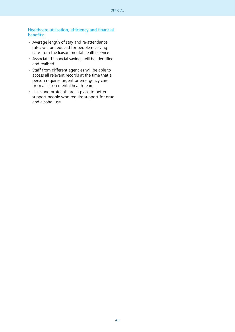#### Healthcare utilisation, efficiency and financial benefits:

- Average length of stay and re-attendance rates will be reduced for people receiving care from the liaison mental health service
- Associated financial savings will be identified and realised
- Staff from different agencies will be able to access all relevant records at the time that a person requires urgent or emergency care from a liaison mental health team
- Links and protocols are in place to better support people who require support for drug and alcohol use.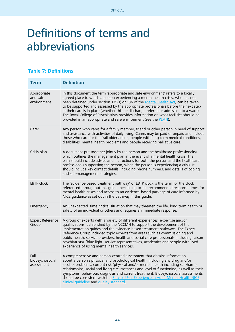# <span id="page-43-0"></span>Definitions of terms and abbreviations

### **Table 7: Definitions**

| <b>Term</b>                            | <b>Definition</b>                                                                                                                                                                                                                                                                                                                                                                                                                                                                                                                                                                                           |
|----------------------------------------|-------------------------------------------------------------------------------------------------------------------------------------------------------------------------------------------------------------------------------------------------------------------------------------------------------------------------------------------------------------------------------------------------------------------------------------------------------------------------------------------------------------------------------------------------------------------------------------------------------------|
| Appropriate<br>and safe<br>environment | In this document the term 'appropriate and safe environment' refers to a locally<br>agreed place to which a person experiencing a mental health crisis, who has not<br>been detained under section 135(1) or 136 of the Mental Health Act, can be taken<br>to be supported and assessed by the appropriate professionals before the next step<br>in their care is in place (whether this be discharge, referral or admission to a ward).<br>The Royal College of Psychiatrists provides information on what facilities should be<br>provided in an appropriate and safe environment (see the <b>PLAN</b> ). |
| Carer                                  | Any person who cares for a family member, friend or other person in need of support<br>and assistance with activities of daily living. Carers may be paid or unpaid and include<br>those who care for the frail older adults, people with long-term medical conditions,<br>disabilities, mental health problems and people receiving palliative care.                                                                                                                                                                                                                                                       |
| Crisis plan                            | A document put together jointly by the person and the healthcare professional(s)<br>which outlines the management plan in the event of a mental health crisis. The<br>plan should include advice and instructions for both the person and the healthcare<br>professionals supporting the person, when the person is experiencing a crisis. It<br>should include key contact details, including phone numbers, and details of coping<br>and self-management strategies.                                                                                                                                      |
| <b>EBTP</b> clock                      | The 'evidence-based treatment pathway' or EBTP clock is the term for the clock<br>referenced throughout this guide, pertaining to the recommended response times for<br>mental health crises and access to an evidence-based package of care informed by<br>NICE guidance as set out in the pathway in this guide.                                                                                                                                                                                                                                                                                          |
| Emergency                              | An unexpected, time-critical situation that may threaten the life, long-term health or<br>safety of an individual or others and requires an immediate response.                                                                                                                                                                                                                                                                                                                                                                                                                                             |
| <b>Expert Reference</b><br>Group       | A group of experts with a variety of different experiences, expertise and/or<br>qualifications, established by the NCCMH to support the development of the<br>implementation quides and the evidence-based treatment pathways. The Expert<br>Reference Group included topic experts from areas such as commissioning and<br>public health, service providers, health and social care professionals (including liaison<br>psychiatrists), 'blue light' service representatives, academics and people with lived<br>experience of using mental health services.                                               |
| Full<br>biopsychosocial<br>assessment  | A comprehensive and person-centred assessment that obtains information<br>about a person's physical and psychological health, including any drug and/or<br>alcohol problems, current risk (physical and/or mental health including self-harm),<br>relationships, social and living circumstances and level of functioning, as well as their<br>symptoms, behaviour, diagnosis and current treatment. Biopsychosocial assessments<br>should be consistent with the Service User Experience in Adult Mental Health NICE<br>clinical quideline and quality standard.                                           |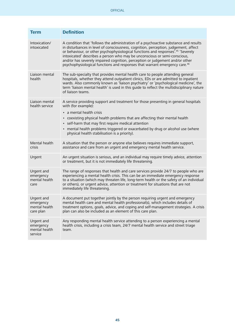<span id="page-44-0"></span>

| <b>Term</b>                                           | <b>Definition</b>                                                                                                                                                                                                                                                                                                                                                                                                                                                                                                                  |
|-------------------------------------------------------|------------------------------------------------------------------------------------------------------------------------------------------------------------------------------------------------------------------------------------------------------------------------------------------------------------------------------------------------------------------------------------------------------------------------------------------------------------------------------------------------------------------------------------|
| Intoxication/<br>intoxicated                          | A condition that 'follows the administration of a psychoactive substance and results<br>in disturbances in level of consciousness, cognition, perception, judgement, affect<br>or behaviour, or other psychophysiological functions and responses <sup>7.45</sup> 'Severely<br>intoxicated' describes a person who may be unconscious or semi-conscious,<br>and/or has severely impaired cognition, perception or judgement and/or other<br>psychophysiological functions and responses that warrant emergency care. <sup>46</sup> |
| Liaison mental<br>health                              | The sub-specialty that provides mental health care to people attending general<br>hospitals, whether they attend outpatient clinics, EDs or are admitted to inpatient<br>wards. Also commonly known as 'liaison psychiatry' or 'psychological medicine', the<br>term 'liaison mental health' is used in this guide to reflect the multidisciplinary nature<br>of liaison teams.                                                                                                                                                    |
| Liaison mental<br>health service                      | A service providing support and treatment for those presenting in general hospitals<br>with (for example):<br>• a mental health crisis<br>• coexisting physical health problems that are affecting their mental health<br>• self-harm that may first require medical attention<br>• mental health problems triggered or exacerbated by drug or alcohol use (where<br>physical health stabilisation is a priority).                                                                                                                 |
| Mental health<br><b>crisis</b>                        | A situation that the person or anyone else believes requires immediate support,<br>assistance and care from an urgent and emergency mental health service.                                                                                                                                                                                                                                                                                                                                                                         |
| Urgent                                                | An urgent situation is serious, and an individual may require timely advice, attention<br>or treatment, but it is not immediately life threatening.                                                                                                                                                                                                                                                                                                                                                                                |
| Urgent and<br>emergency<br>mental health<br>care      | The range of responses that health and care services provide 24/7 to people who are<br>experiencing a mental health crisis. This can be an immediate emergency response<br>to a situation (which may threaten life, long-term health or the safety of an individual<br>or others), or urgent advice, attention or treatment for situations that are not<br>immediately life threatening.                                                                                                                                           |
| Urgent and<br>emergency<br>mental health<br>care plan | A document put together jointly by the person requiring urgent and emergency<br>mental health care and mental health professional(s), which includes details of<br>treatment options, goals, advice, and coping and self-management strategies. A crisis<br>plan can also be included as an element of this care plan.                                                                                                                                                                                                             |
| Urgent and<br>emergency<br>mental health<br>service   | Any responding mental health service attending to a person experiencing a mental<br>health crisis, including a crisis team, 24/7 mental health service and street triage<br>team.                                                                                                                                                                                                                                                                                                                                                  |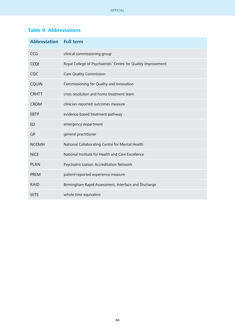## **Table 9: Abbreviations**

| <b>Abbreviation</b> | <b>Full term</b>                                               |
|---------------------|----------------------------------------------------------------|
| CCG                 | clinical commissioning group                                   |
| <b>CCQI</b>         | Royal College of Psychiatrists' Centre for Quality Improvement |
| CQC                 | Care Quality Commission                                        |
| <b>CQUIN</b>        | Commissioning for Quality and Innovation                       |
| <b>CRHTT</b>        | crisis resolution and home treatment team                      |
| <b>CROM</b>         | clinician-reported outcomes measure                            |
| <b>EBTP</b>         | evidence-based treatment pathway                               |
| <b>ED</b>           | emergency department                                           |
| GP                  | general practitioner                                           |
| <b>NCCMH</b>        | National Collaborating Centre for Mental Health                |
| <b>NICE</b>         | National Institute for Health and Care Excellence              |
| <b>PLAN</b>         | Psychiatric Liaison Accreditation Network                      |
| <b>PREM</b>         | patient-reported experience measure                            |
| <b>RAID</b>         | Birmingham Rapid Assessment, Interface and Discharge           |
| <b>WTE</b>          | whole time equivalent                                          |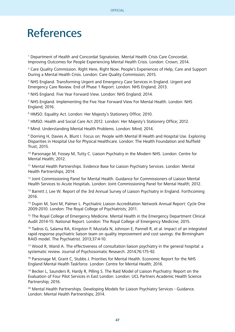## References

<sup>1</sup> Department of Health and Concordat Signatories. Mental Health Crisis Care Concordat. Improving Outcomes for People Experiencing Mental Health Crisis. London: Crown; 2014.

<sup>2</sup> Care Quality Commission. Right Here, Right Now. People's Experiences of Help, Care and Support During a Mental Health Crisis. London: Care Quality Commission; 2015.

<sup>3</sup> NHS England. Transforming Urgent and Emergency Care Services in England. Urgent and Emergency Care Review. End of Phase 1 Report. London: NHS England; 2013.

4 NHS England. Five Year Forward View. London: NHS England; 2014.

<sup>5</sup> NHS England. Implementing the Five Year Forward View For Mental Health. London: NHS England; 2016.

6 HMSO. Equality Act. London: Her Majesty's Stationery Office; 2010.

<sup>7</sup> HMSO. Health and Social Care Act 2012. London: Her Majesty's Stationery Office; 2012.

8 Mind. Understanding Mental Health Problems. London: Mind; 2014.

9 Dorning H, Davies A, Blunt I. Focus on: People with Mental Ill Health and Hospital Use. Exploring Disparities in Hospital Use for Physical Healthcare. London: The Health Foundation and Nuffield Trust; 2015.

10 Parsonage M, Fossey M, Tutty C. Liaison Psychiatry in the Modern NHS. London: Centre for Mental Health; 2012.

11 Mental Health Partnerships. Evidence Base for Liaison Psychiatry Services. London: Mental Health Partnerships; 2014.

<sup>12</sup> Joint Commissioning Panel for Mental Health. Guidance for Commissioners of Liaison Mental Health Services to Acute Hospitals. London: Joint Commissioning Panel for Mental Health; 2012.

<sup>13</sup> Barrett J, Lee W. Report of the 3rd Annual Survey of Liaison Psychiatry in England. Forthcoming 2016.

<sup>14</sup> Dupin M, Soni M, Palmer L. Psychiatric Liaison Accreditation Network Annual Report: Cycle One 2009-2010. London: The Royal College of Psychiatrists; 2011.

<sup>15</sup> The Royal College of Emergency Medicine. Mental Health in the Emergency Department Clinical Audit 2014-15: National Report. London: The Royal College of Emergency Medicine; 2015.

<sup>16</sup> Tadros G, Salama RA, Kingston P, Mustafa N, Johnson E, Pannell R, et al. Impact of an integrated rapid response psychiatric liaison team on quality improvement and cost savings: the Birmingham RAID model. The Psychiatrist. 2013;37:4-10.

<sup>17</sup> Wood R, Wand A. The effectiveness of consultation liaison psychiatry in the general hospital: a systematic review. Journal of Psychosomatic Research. 2014;76:175-92.

<sup>18</sup> Parsonage M, Grant C, Stubbs J. Priorities for Mental Health. Economic Report for the NHS England Mental Health Taskforce. London: Centre for Mental Health; 2016.

19 Becker L, Saunders R, Hardy R, Pilling S. The Raid Model of Liaison Psychiatry: Report on the Evaluation of Four Pilot Services in East London. London: UCL Partners Academic Health Science Partnership; 2016.

<sup>20</sup> Mental Health Partnerships. Developing Models for Liaison Psychiatry Services - Guidance. London: Mental Health Partnerships; 2014.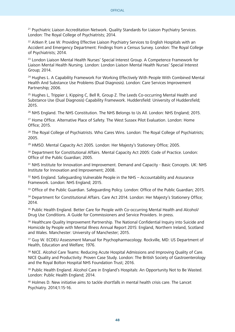<sup>21</sup> Psychiatric Liaison Accreditation Network. Quality Standards for Liaison Psychiatry Services. London: The Royal College of Psychiatrists; 2014.

<sup>22</sup> Aitken P, Lee W. Providing Effective Liaison Psychiatry Services to English Hospitals with an Accident and Emergency Department: Findings from a Census Survey. London: The Royal College of Psychiatrists; 2014.

<sup>23</sup> London Liaison Mental Health Nurses' Special Interest Group. A Competence Framework for Liaison Mental Health Nursing. London: London Liaison Mental Health Nurses' Special Interest Group; 2014.

<sup>24</sup> Hughes L. A Capability Framework For Working Effectively With People With Combined Mental Health And Substance Use Problems (Dual Diagnosis). London: Care Services Improvement Partnership; 2006.

 $25$  Hughes L, Trippier J, Kipping C, Bell R, Group Z. The Leeds Co-occurring Mental Health and Substance Use (Dual Diagnosis) Capability Framework. Huddersfield: University of Huddersfield; 2015.

<sup>26</sup> NHS England. The NHS Constitution. The NHS Belongs to Us All. London: NHS England; 2015.

<sup>27</sup> Home Office. Alternative Place of Safety. The West Sussex Pilot Evaluation. London: Home Office; 2015.

<sup>28</sup> The Royal College of Psychiatrists. Who Cares Wins. London: The Royal College of Psychiatrists; 2005.

29 HMSO. Mental Capacity Act 2005. London: Her Majesty's Stationery Office; 2005.

<sup>30</sup> Department for Constitutional Affairs. Mental Capacity Act 2005: Code of Practice. London: Office of the Public Guardian; 2005.

<sup>31</sup> NHS Institute for Innovation and Improvement. Demand and Capacity - Basic Concepts. UK: NHS Institute for Innovation and Improvement; 2008.

<sup>32</sup> NHS England. Safeguarding Vulnerable People in the NHS – Accountability and Assurance Framework. London: NHS England; 2015.

<sup>33</sup> Office of the Public Guardian. Safeguarding Policy. London: Office of the Public Guardian: 2015.

<sup>34</sup> Department for Constitutional Affairs. Care Act 2014. London: Her Maiesty's Stationery Office: 2014.

<sup>35</sup> Public Health England. Better Care for People with Co-occurring Mental Health and Alcohol/ Drug Use Conditions. A Guide for Commissioners and Service Providers. In press.

<sup>36</sup> Healthcare Quality Improvement Partnership. The National Confidential Inquiry into Suicide and Homicide by People with Mental Illness Annual Report 2015: England, Northern Ireland, Scotland and Wales. Manchester: University of Manchester; 2015.

<sup>37</sup> Guy W. ECDEU Assessment Manual for Psychopharmacology. Rockville, MD: US Department of Health, Education and Welfare; 1976.

38 NICE. Alcohol Care Teams: Reducing Acute Hospital Admissions and Improving Quality of Care. NICE Quality and Productivity: Proven Case Study. London: The British Society of Gastroenterology and the Royal Bolton Hospital NHS Foundation Trust; 2016.

<sup>39</sup> Public Health England. Alcohol Care in England's Hospitals: An Opportunity Not to Be Wasted. London: Public Health England; 2014.

<sup>40</sup> Holmes D. New initiative aims to tackle shortfalls in mental health crisis care. The Lancet Psychiatry. 2014;1:15-16.